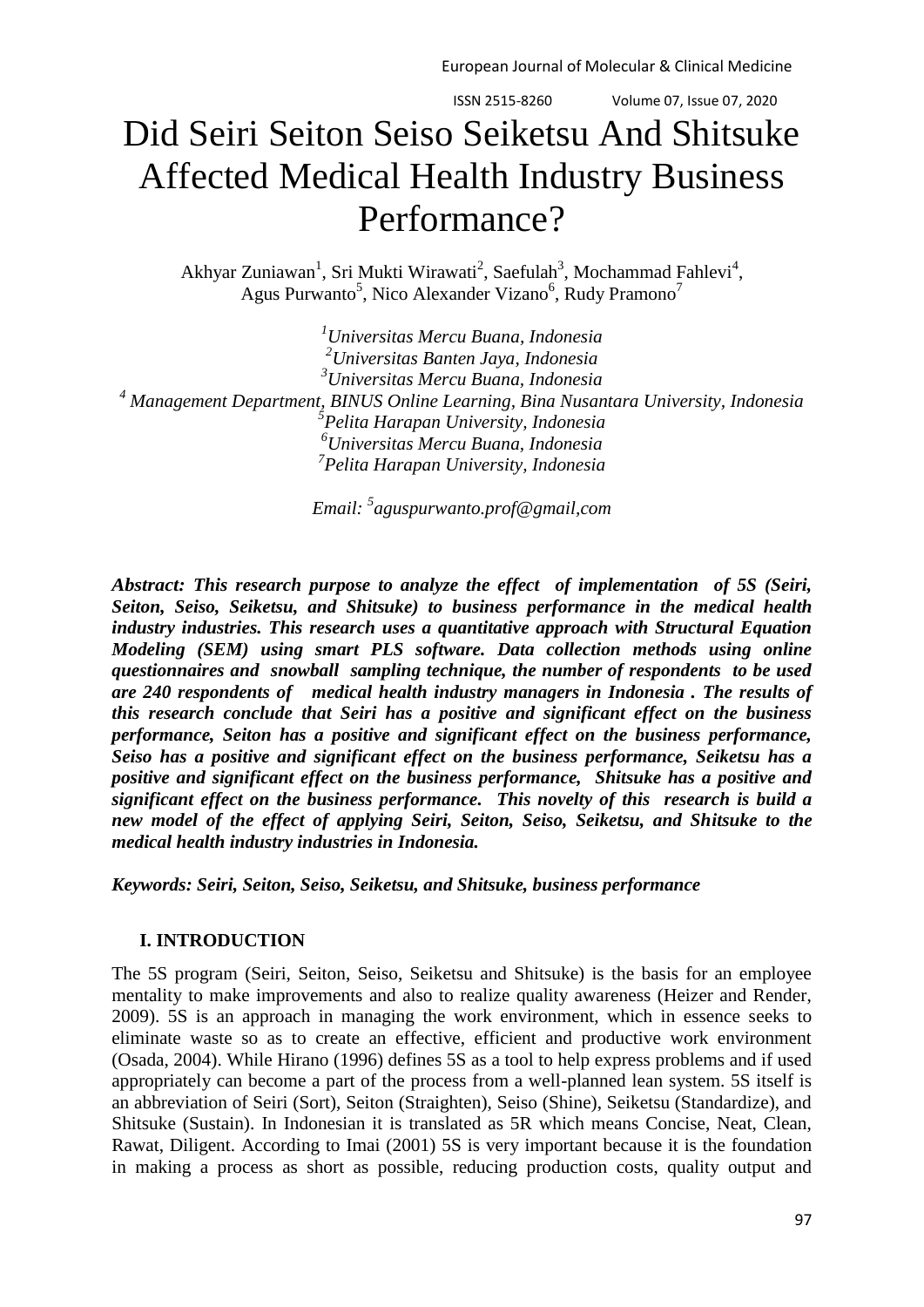# Did Seiri Seiton Seiso Seiketsu And Shitsuke Affected Medical Health Industry Business Performance?

Akhyar Zuniawan<sup>1</sup>, Sri Mukti Wirawati<sup>2</sup>, Saefulah<sup>3</sup>, Mochammad Fahlevi<sup>4</sup>, Agus Purwanto<sup>5</sup>, Nico Alexander Vizano<sup>6</sup>, Rudy Pramono<sup>7</sup>

*Universitas Mercu Buana, Indonesia Universitas Banten Jaya, Indonesia Universitas Mercu Buana, Indonesia Management Department, BINUS Online Learning, Bina Nusantara University, Indonesia Pelita Harapan University, Indonesia Universitas Mercu Buana, Indonesia Pelita Harapan University, Indonesia*

*Email: <sup>5</sup> [aguspurwanto.prof@gmail,com](mailto:aguspurwanto.prof@gmail.com)*

*Abstract: This research purpose to analyze the effect of implementation of 5S (Seiri, Seiton, Seiso, Seiketsu, and Shitsuke) to business performance in the medical health industry industries. This research uses a quantitative approach with Structural Equation Modeling (SEM) using smart PLS software. Data collection methods using online questionnaires and snowball sampling technique, the number of respondents to be used are 240 respondents of medical health industry managers in Indonesia . The results of this research conclude that Seiri has a positive and significant effect on the business performance, Seiton has a positive and significant effect on the business performance, Seiso has a positive and significant effect on the business performance, Seiketsu has a positive and significant effect on the business performance, Shitsuke has a positive and significant effect on the business performance. This novelty of this research is build a new model of the effect of applying Seiri, Seiton, Seiso, Seiketsu, and Shitsuke to the medical health industry industries in Indonesia.*

*Keywords: Seiri, Seiton, Seiso, Seiketsu, and Shitsuke, business performance*

# **I. INTRODUCTION**

The 5S program (Seiri, Seiton, Seiso, Seiketsu and Shitsuke) is the basis for an employee mentality to make improvements and also to realize quality awareness (Heizer and Render, 2009). 5S is an approach in managing the work environment, which in essence seeks to eliminate waste so as to create an effective, efficient and productive work environment (Osada, 2004). While Hirano (1996) defines 5S as a tool to help express problems and if used appropriately can become a part of the process from a well-planned lean system. 5S itself is an abbreviation of Seiri (Sort), Seiton (Straighten), Seiso (Shine), Seiketsu (Standardize), and Shitsuke (Sustain). In Indonesian it is translated as 5R which means Concise, Neat, Clean, Rawat, Diligent. According to Imai (2001) 5S is very important because it is the foundation in making a process as short as possible, reducing production costs, quality output and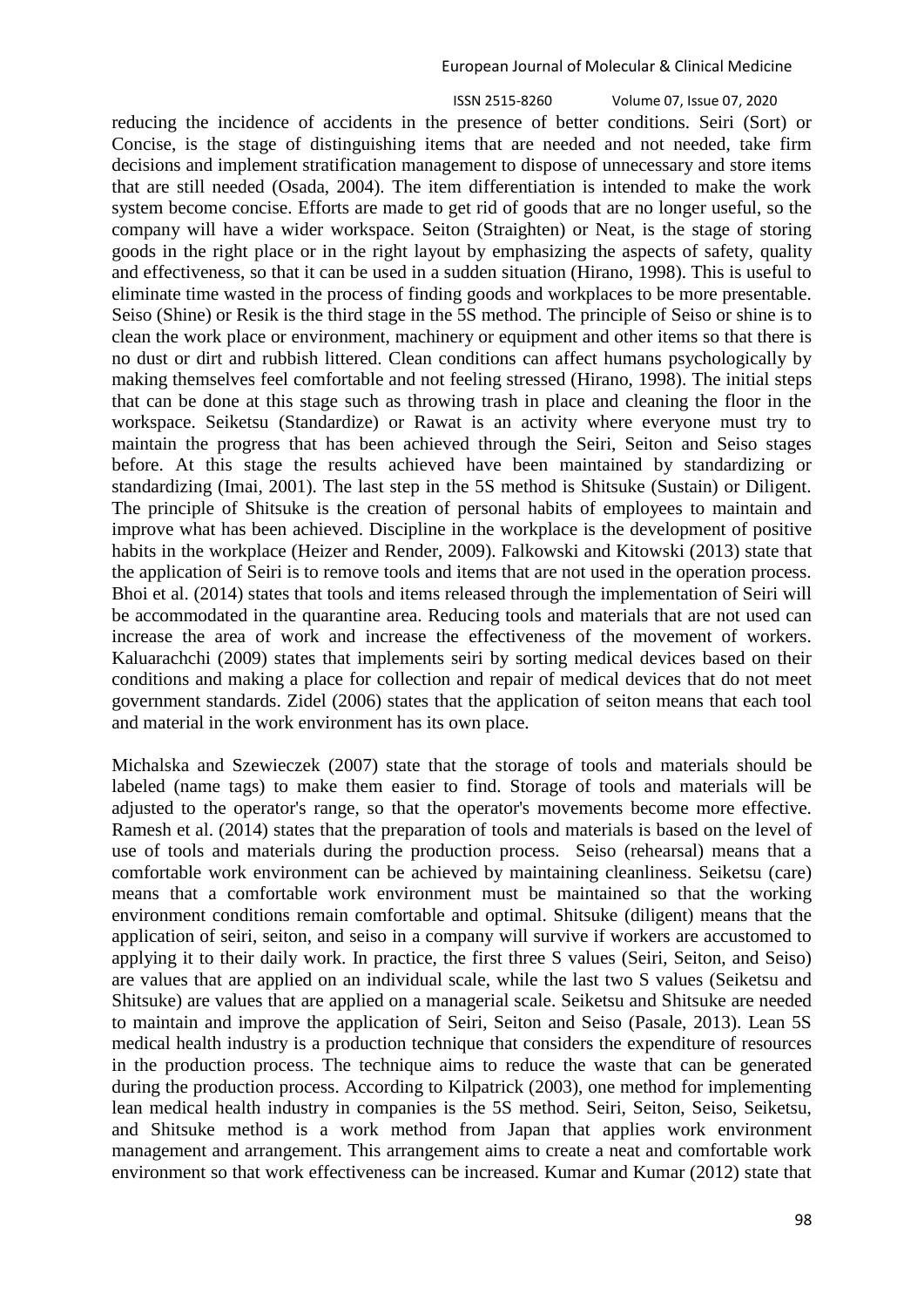ISSN 2515-8260 Volume 07, Issue 07, 2020 reducing the incidence of accidents in the presence of better conditions. Seiri (Sort) or Concise, is the stage of distinguishing items that are needed and not needed, take firm decisions and implement stratification management to dispose of unnecessary and store items that are still needed (Osada, 2004). The item differentiation is intended to make the work system become concise. Efforts are made to get rid of goods that are no longer useful, so the company will have a wider workspace. Seiton (Straighten) or Neat, is the stage of storing goods in the right place or in the right layout by emphasizing the aspects of safety, quality and effectiveness, so that it can be used in a sudden situation (Hirano, 1998). This is useful to eliminate time wasted in the process of finding goods and workplaces to be more presentable. Seiso (Shine) or Resik is the third stage in the 5S method. The principle of Seiso or shine is to clean the work place or environment, machinery or equipment and other items so that there is no dust or dirt and rubbish littered. Clean conditions can affect humans psychologically by making themselves feel comfortable and not feeling stressed (Hirano, 1998). The initial steps that can be done at this stage such as throwing trash in place and cleaning the floor in the workspace. Seiketsu (Standardize) or Rawat is an activity where everyone must try to maintain the progress that has been achieved through the Seiri, Seiton and Seiso stages before. At this stage the results achieved have been maintained by standardizing or standardizing (Imai, 2001). The last step in the 5S method is Shitsuke (Sustain) or Diligent. The principle of Shitsuke is the creation of personal habits of employees to maintain and improve what has been achieved. Discipline in the workplace is the development of positive habits in the workplace (Heizer and Render, 2009). Falkowski and Kitowski (2013) state that the application of Seiri is to remove tools and items that are not used in the operation process. Bhoi et al. (2014) states that tools and items released through the implementation of Seiri will be accommodated in the quarantine area. Reducing tools and materials that are not used can increase the area of work and increase the effectiveness of the movement of workers. Kaluarachchi (2009) states that implements seiri by sorting medical devices based on their conditions and making a place for collection and repair of medical devices that do not meet government standards. Zidel (2006) states that the application of seiton means that each tool and material in the work environment has its own place.

Michalska and Szewieczek (2007) state that the storage of tools and materials should be labeled (name tags) to make them easier to find. Storage of tools and materials will be adjusted to the operator's range, so that the operator's movements become more effective. Ramesh et al. (2014) states that the preparation of tools and materials is based on the level of use of tools and materials during the production process. Seiso (rehearsal) means that a comfortable work environment can be achieved by maintaining cleanliness. Seiketsu (care) means that a comfortable work environment must be maintained so that the working environment conditions remain comfortable and optimal. Shitsuke (diligent) means that the application of seiri, seiton, and seiso in a company will survive if workers are accustomed to applying it to their daily work. In practice, the first three S values (Seiri, Seiton, and Seiso) are values that are applied on an individual scale, while the last two S values (Seiketsu and Shitsuke) are values that are applied on a managerial scale. Seiketsu and Shitsuke are needed to maintain and improve the application of Seiri, Seiton and Seiso (Pasale, 2013). Lean 5S medical health industry is a production technique that considers the expenditure of resources in the production process. The technique aims to reduce the waste that can be generated during the production process. According to Kilpatrick (2003), one method for implementing lean medical health industry in companies is the 5S method. Seiri, Seiton, Seiso, Seiketsu, and Shitsuke method is a work method from Japan that applies work environment management and arrangement. This arrangement aims to create a neat and comfortable work environment so that work effectiveness can be increased. Kumar and Kumar (2012) state that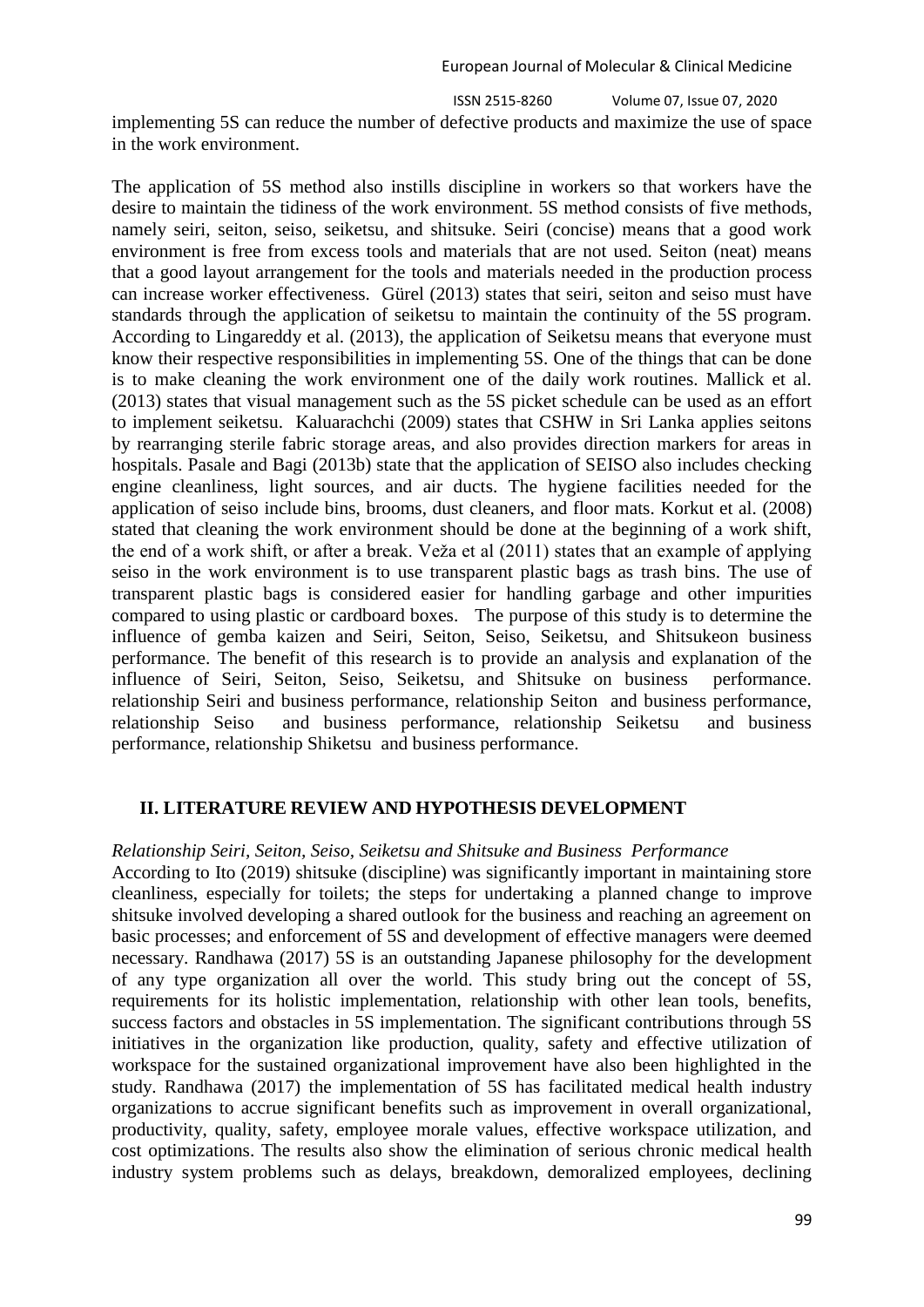ISSN 2515-8260 Volume 07, Issue 07, 2020

implementing 5S can reduce the number of defective products and maximize the use of space in the work environment.

The application of 5S method also instills discipline in workers so that workers have the desire to maintain the tidiness of the work environment. 5S method consists of five methods, namely seiri, seiton, seiso, seiketsu, and shitsuke. Seiri (concise) means that a good work environment is free from excess tools and materials that are not used. Seiton (neat) means that a good layout arrangement for the tools and materials needed in the production process can increase worker effectiveness. Gürel (2013) states that seiri, seiton and seiso must have standards through the application of seiketsu to maintain the continuity of the 5S program. According to Lingareddy et al. (2013), the application of Seiketsu means that everyone must know their respective responsibilities in implementing 5S. One of the things that can be done is to make cleaning the work environment one of the daily work routines. Mallick et al. (2013) states that visual management such as the 5S picket schedule can be used as an effort to implement seiketsu. Kaluarachchi (2009) states that CSHW in Sri Lanka applies seitons by rearranging sterile fabric storage areas, and also provides direction markers for areas in hospitals. Pasale and Bagi (2013b) state that the application of SEISO also includes checking engine cleanliness, light sources, and air ducts. The hygiene facilities needed for the application of seiso include bins, brooms, dust cleaners, and floor mats. Korkut et al. (2008) stated that cleaning the work environment should be done at the beginning of a work shift, the end of a work shift, or after a break. Veža et al (2011) states that an example of applying seiso in the work environment is to use transparent plastic bags as trash bins. The use of transparent plastic bags is considered easier for handling garbage and other impurities compared to using plastic or cardboard boxes. The purpose of this study is to determine the influence of gemba kaizen and Seiri, Seiton, Seiso, Seiketsu, and Shitsukeon business performance. The benefit of this research is to provide an analysis and explanation of the influence of Seiri, Seiton, Seiso, Seiketsu, and Shitsuke on business performance. relationship Seiri and business performance, relationship Seiton and business performance, relationship Seiso and business performance, relationship Seiketsu and business performance, relationship Shiketsu and business performance.

## **II. LITERATURE REVIEW AND HYPOTHESIS DEVELOPMENT**

#### *Relationship Seiri, Seiton, Seiso, Seiketsu and Shitsuke and Business Performance*

According to Ito (2019) shitsuke (discipline) was significantly important in maintaining store cleanliness, especially for toilets; the steps for undertaking a planned change to improve shitsuke involved developing a shared outlook for the business and reaching an agreement on basic processes; and enforcement of 5S and development of effective managers were deemed necessary. Randhawa (2017) 5S is an outstanding Japanese philosophy for the development of any type organization all over the world. This study bring out the concept of 5S, requirements for its holistic implementation, relationship with other lean tools, benefits, success factors and obstacles in 5S implementation. The significant contributions through 5S initiatives in the organization like production, quality, safety and effective utilization of workspace for the sustained organizational improvement have also been highlighted in the study. Randhawa (2017) the implementation of 5S has facilitated medical health industry organizations to accrue significant benefits such as improvement in overall organizational, productivity, quality, safety, employee morale values, effective workspace utilization, and cost optimizations. The results also show the elimination of serious chronic medical health industry system problems such as delays, breakdown, demoralized employees, declining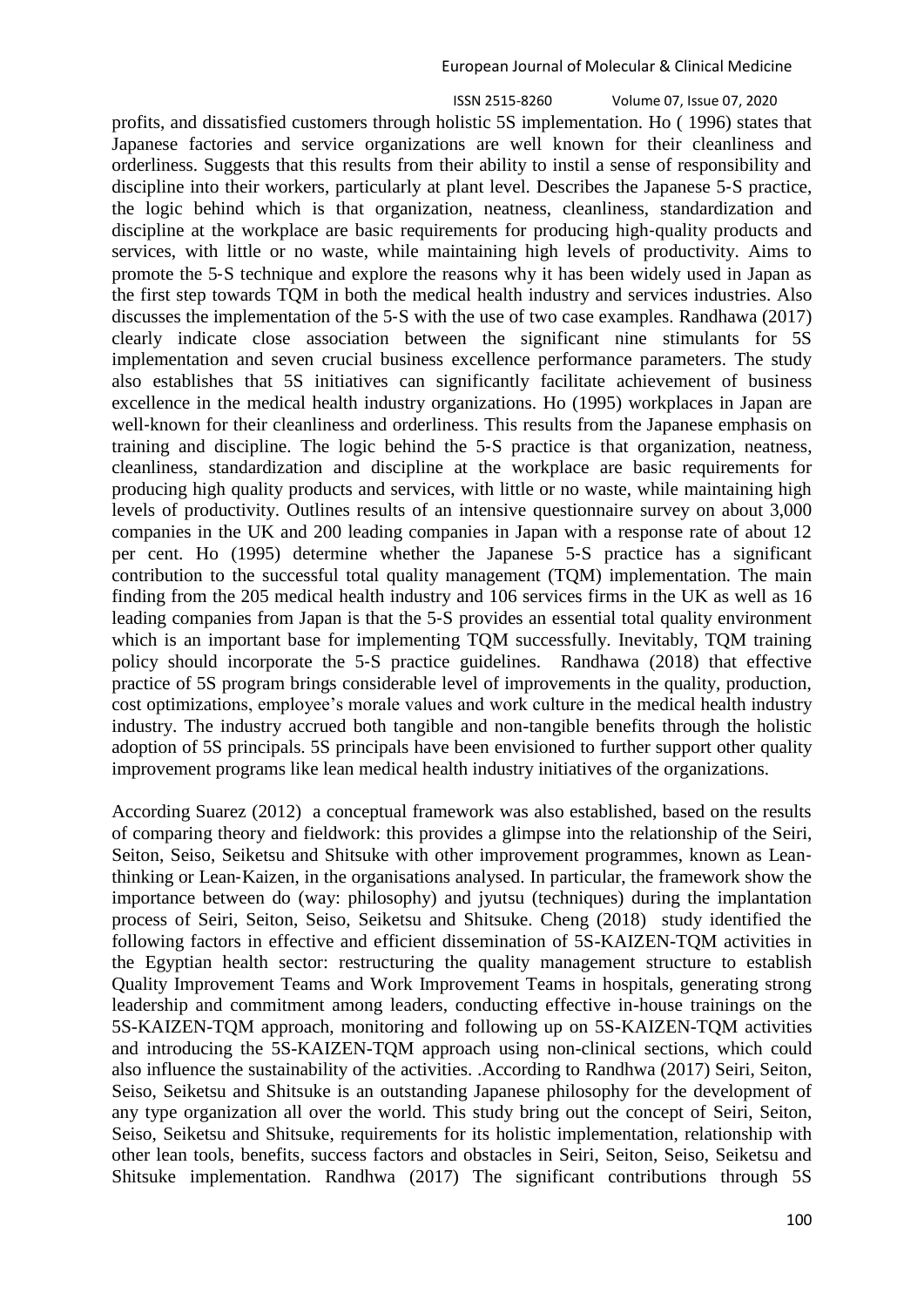profits, and dissatisfied customers through holistic 5S implementation. Ho ( 1996) states that Japanese factories and service organizations are well known for their cleanliness and orderliness. Suggests that this results from their ability to instil a sense of responsibility and discipline into their workers, particularly at plant level. Describes the Japanese 5‐S practice, the logic behind which is that organization, neatness, cleanliness, standardization and discipline at the workplace are basic requirements for producing high‐quality products and services, with little or no waste, while maintaining high levels of productivity. Aims to promote the 5‐S technique and explore the reasons why it has been widely used in Japan as the first step towards TQM in both the medical health industry and services industries. Also discusses the implementation of the 5‐S with the use of two case examples. Randhawa (2017) clearly indicate close association between the significant nine stimulants for 5S implementation and seven crucial business excellence performance parameters. The study also establishes that 5S initiatives can significantly facilitate achievement of business excellence in the medical health industry organizations. Ho (1995) workplaces in Japan are well-known for their cleanliness and orderliness. This results from the Japanese emphasis on training and discipline. The logic behind the 5‐S practice is that organization, neatness, cleanliness, standardization and discipline at the workplace are basic requirements for producing high quality products and services, with little or no waste, while maintaining high levels of productivity. Outlines results of an intensive questionnaire survey on about 3,000 companies in the UK and 200 leading companies in Japan with a response rate of about 12 per cent. Ho (1995) determine whether the Japanese 5‐S practice has a significant contribution to the successful total quality management (TQM) implementation. The main finding from the 205 medical health industry and 106 services firms in the UK as well as 16 leading companies from Japan is that the 5‐S provides an essential total quality environment which is an important base for implementing TOM successfully. Inevitably, TOM training policy should incorporate the 5‐S practice guidelines. Randhawa (2018) that effective practice of 5S program brings considerable level of improvements in the quality, production, cost optimizations, employee's morale values and work culture in the medical health industry industry. The industry accrued both tangible and non-tangible benefits through the holistic adoption of 5S principals. 5S principals have been envisioned to further support other quality improvement programs like lean medical health industry initiatives of the organizations.

According Suarez (2012) a conceptual framework was also established, based on the results of comparing theory and fieldwork: this provides a glimpse into the relationship of the Seiri, Seiton, Seiso, Seiketsu and Shitsuke with other improvement programmes, known as Leanthinking or Lean‐Kaizen, in the organisations analysed. In particular, the framework show the importance between do (way: philosophy) and jyutsu (techniques) during the implantation process of Seiri, Seiton, Seiso, Seiketsu and Shitsuke. Cheng (2018) study identified the following factors in effective and efficient dissemination of 5S-KAIZEN-TQM activities in the Egyptian health sector: restructuring the quality management structure to establish Quality Improvement Teams and Work Improvement Teams in hospitals, generating strong leadership and commitment among leaders, conducting effective in-house trainings on the 5S-KAIZEN-TQM approach, monitoring and following up on 5S-KAIZEN-TQM activities and introducing the 5S-KAIZEN-TQM approach using non-clinical sections, which could also influence the sustainability of the activities. .According to Randhwa (2017) Seiri, Seiton, Seiso, Seiketsu and Shitsuke is an outstanding Japanese philosophy for the development of any type organization all over the world. This study bring out the concept of Seiri, Seiton, Seiso, Seiketsu and Shitsuke, requirements for its holistic implementation, relationship with other lean tools, benefits, success factors and obstacles in Seiri, Seiton, Seiso, Seiketsu and Shitsuke implementation. Randhwa (2017) The significant contributions through 5S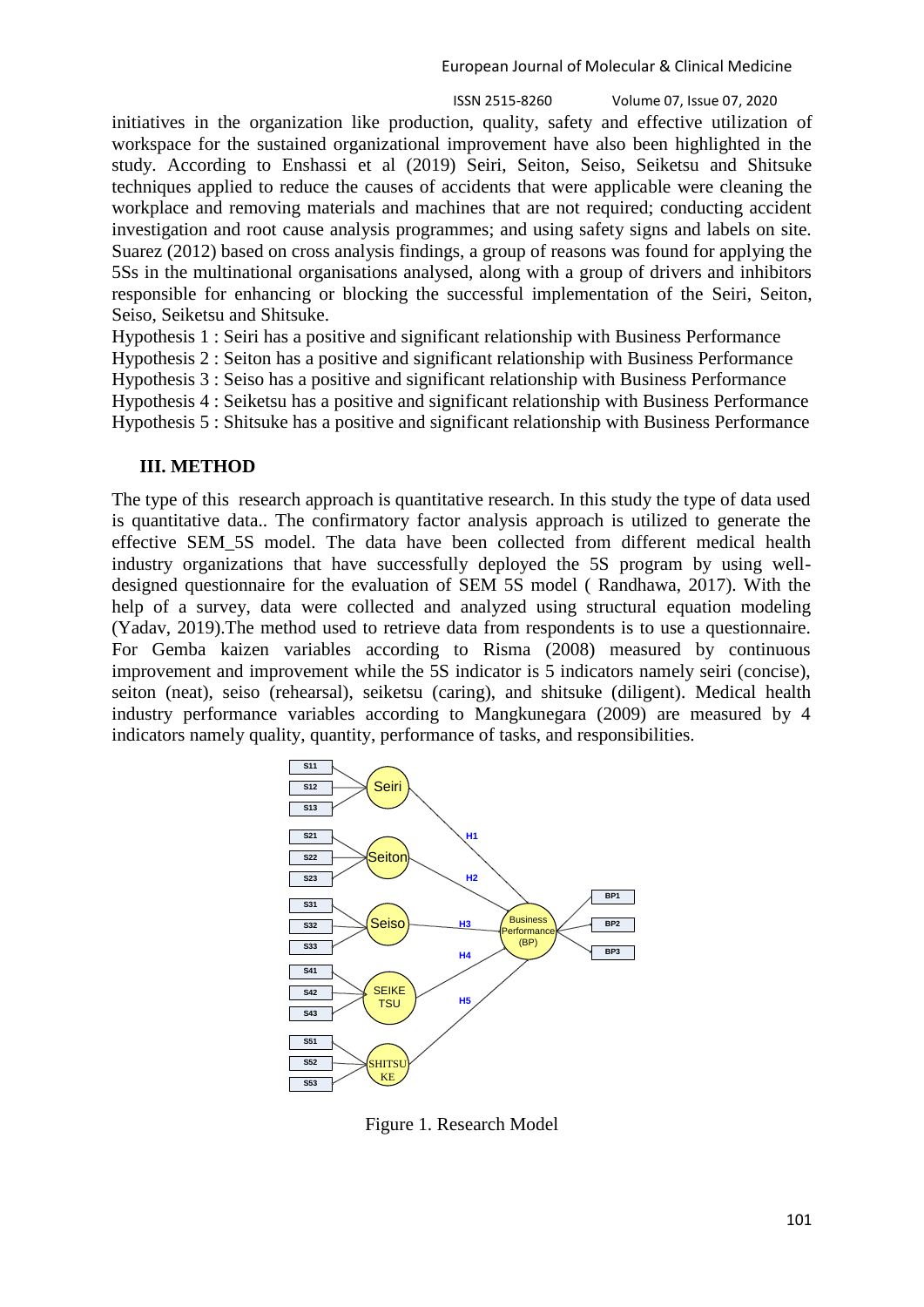initiatives in the organization like production, quality, safety and effective utilization of workspace for the sustained organizational improvement have also been highlighted in the study. According to Enshassi et al (2019) Seiri, Seiton, Seiso, Seiketsu and Shitsuke techniques applied to reduce the causes of accidents that were applicable were cleaning the workplace and removing materials and machines that are not required; conducting accident investigation and root cause analysis programmes; and using safety signs and labels on site. Suarez (2012) based on cross analysis findings, a group of reasons was found for applying the 5Ss in the multinational organisations analysed, along with a group of drivers and inhibitors responsible for enhancing or blocking the successful implementation of the Seiri, Seiton, Seiso, Seiketsu and Shitsuke.

Hypothesis 1 : Seiri has a positive and significant relationship with Business Performance

Hypothesis 2 : Seiton has a positive and significant relationship with Business Performance

Hypothesis 3 : Seiso has a positive and significant relationship with Business Performance

Hypothesis 4 : Seiketsu has a positive and significant relationship with Business Performance

Hypothesis 5 : Shitsuke has a positive and significant relationship with Business Performance

## **III. METHOD**

The type of this research approach is quantitative research. In this study the type of data used is quantitative data.. The confirmatory factor analysis approach is utilized to generate the effective SEM\_5S model. The data have been collected from different medical health industry organizations that have successfully deployed the 5S program by using welldesigned questionnaire for the evaluation of SEM 5S model ( Randhawa, 2017). With the help of a survey, data were collected and analyzed using structural equation modeling (Yadav, 2019).The method used to retrieve data from respondents is to use a questionnaire. For Gemba kaizen variables according to Risma (2008) measured by continuous improvement and improvement while the 5S indicator is 5 indicators namely seiri (concise), seiton (neat), seiso (rehearsal), seiketsu (caring), and shitsuke (diligent). Medical health industry performance variables according to Mangkunegara (2009) are measured by 4 indicators namely quality, quantity, performance of tasks, and responsibilities.



Figure 1. Research Model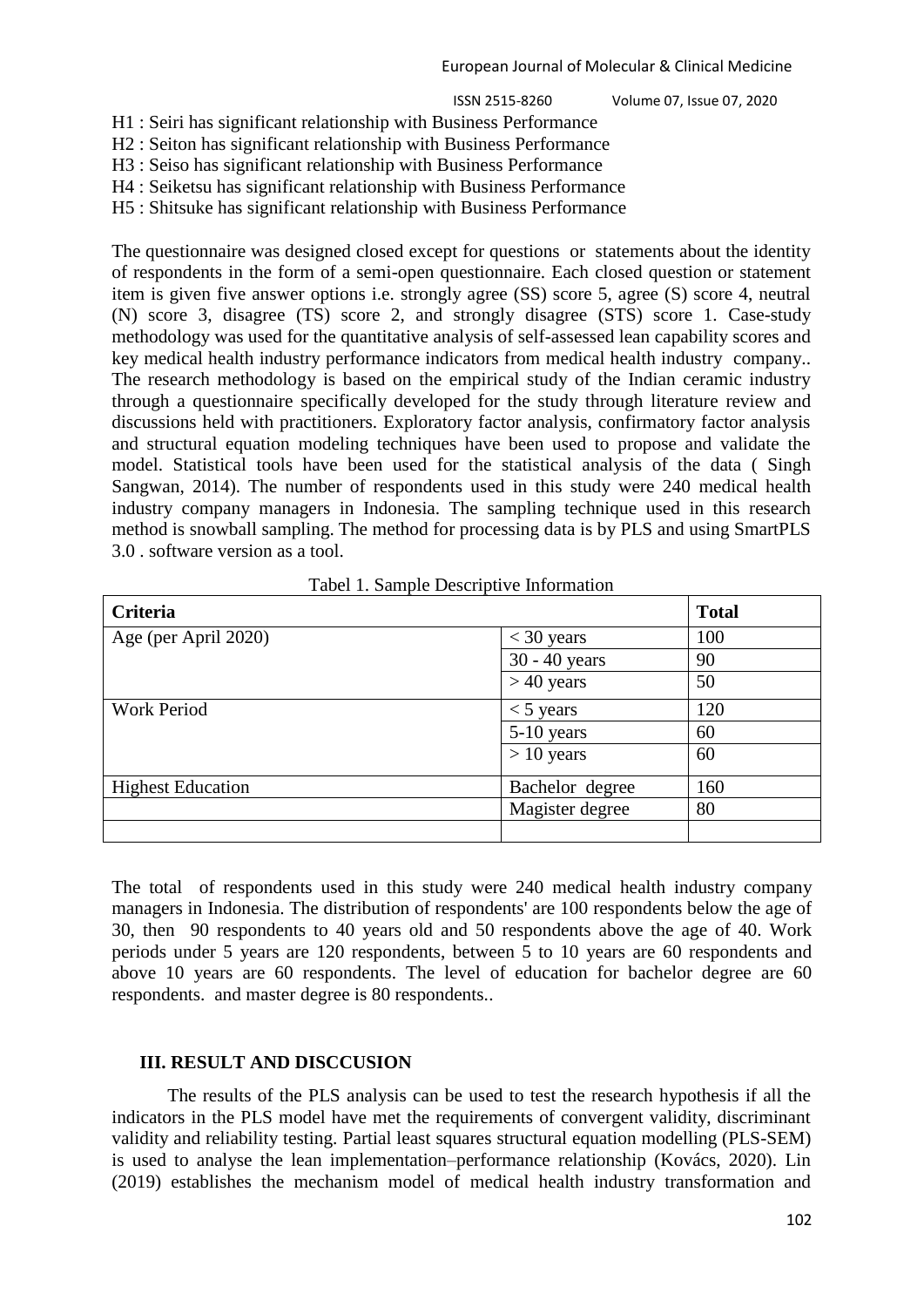H1 : Seiri has significant relationship with Business Performance

H2 : Seiton has significant relationship with Business Performance

H3 : Seiso has significant relationship with Business Performance

H4 : Seiketsu has significant relationship with Business Performance

H5 : Shitsuke has significant relationship with Business Performance

The questionnaire was designed closed except for questions or statements about the identity of respondents in the form of a semi-open questionnaire. Each closed question or statement item is given five answer options i.e. strongly agree (SS) score 5, agree (S) score 4, neutral (N) score 3, disagree (TS) score 2, and strongly disagree (STS) score 1. Case-study methodology was used for the quantitative analysis of self-assessed lean capability scores and key medical health industry performance indicators from medical health industry company.. The research methodology is based on the empirical study of the Indian ceramic industry through a questionnaire specifically developed for the study through literature review and discussions held with practitioners. Exploratory factor analysis, confirmatory factor analysis and structural equation modeling techniques have been used to propose and validate the model. Statistical tools have been used for the statistical analysis of the data ( Singh Sangwan, 2014). The number of respondents used in this study were 240 medical health industry company managers in Indonesia. The sampling technique used in this research method is snowball sampling. The method for processing data is by PLS and using SmartPLS 3.0 . software version as a tool.

| racer 1. Bampic Descriptive information |                 |              |  |  |
|-----------------------------------------|-----------------|--------------|--|--|
| <b>Criteria</b>                         |                 | <b>Total</b> |  |  |
| Age (per April 2020)                    | $<$ 30 years    | 100          |  |  |
|                                         | 30 - 40 years   | 90           |  |  |
|                                         | $> 40$ years    | 50           |  |  |
| <b>Work Period</b>                      | $<$ 5 years     | 120          |  |  |
|                                         | $5-10$ years    | 60           |  |  |
|                                         | $> 10$ years    | 60           |  |  |
| <b>Highest Education</b>                | Bachelor degree | 160          |  |  |
|                                         | Magister degree | 80           |  |  |
|                                         |                 |              |  |  |

Tabel 1. Sample Descriptive Information

The total of respondents used in this study were 240 medical health industry company managers in Indonesia. The distribution of respondents' are 100 respondents below the age of 30, then 90 respondents to 40 years old and 50 respondents above the age of 40. Work periods under 5 years are 120 respondents, between 5 to 10 years are 60 respondents and above 10 years are 60 respondents. The level of education for bachelor degree are 60 respondents. and master degree is 80 respondents..

## **III. RESULT AND DISCCUSION**

The results of the PLS analysis can be used to test the research hypothesis if all the indicators in the PLS model have met the requirements of convergent validity, discriminant validity and reliability testing. Partial least squares structural equation modelling (PLS-SEM) is used to analyse the lean implementation–performance relationship (Kovács, 2020). Lin (2019) establishes the mechanism model of medical health industry transformation and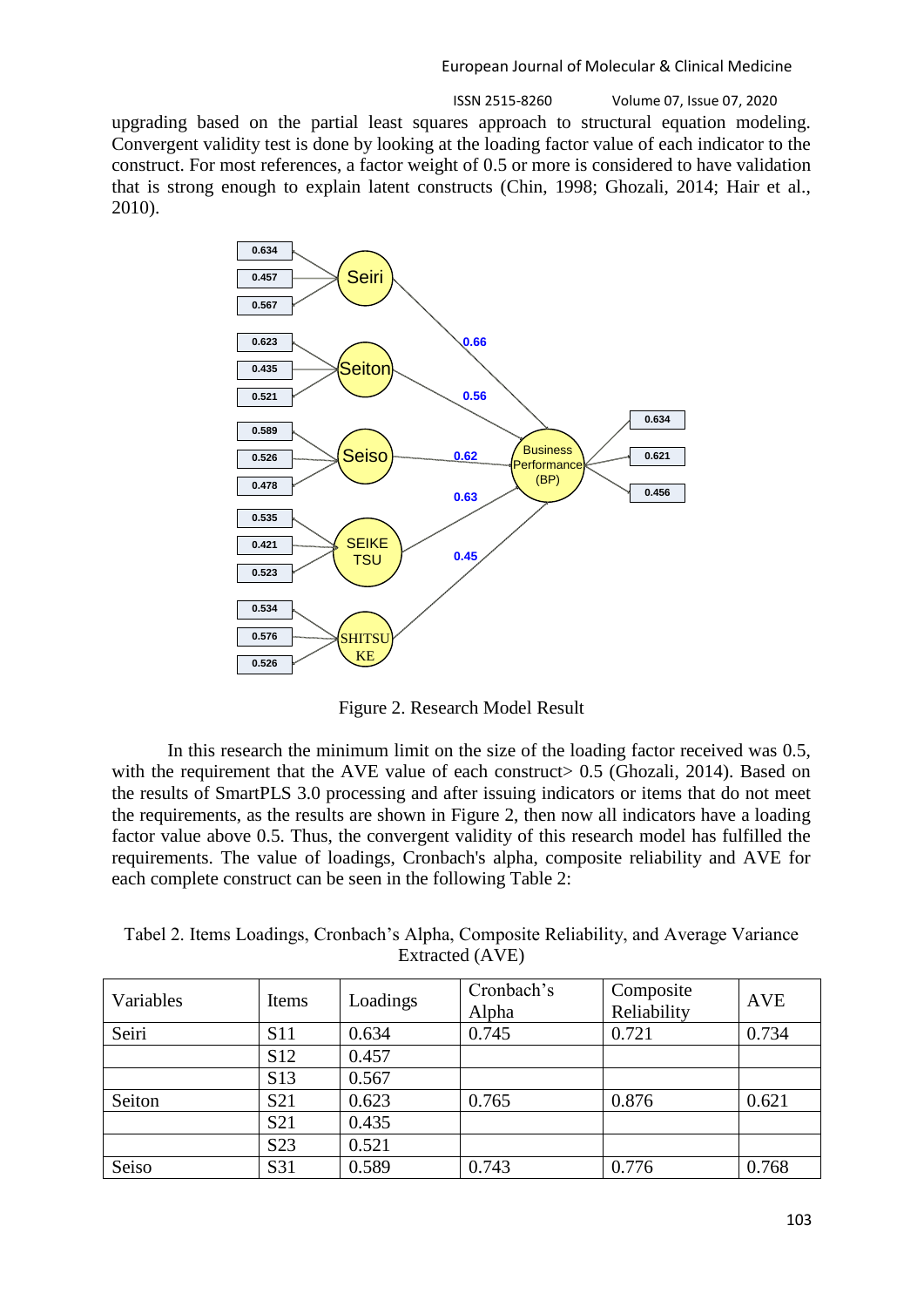ISSN 2515-8260 Volume 07, Issue 07, 2020

upgrading based on the partial least squares approach to structural equation modeling. Convergent validity test is done by looking at the loading factor value of each indicator to the construct. For most references, a factor weight of 0.5 or more is considered to have validation that is strong enough to explain latent constructs (Chin, 1998; Ghozali, 2014; Hair et al., 2010).



Figure 2. Research Model Result

In this research the minimum limit on the size of the loading factor received was 0.5, with the requirement that the AVE value of each construct  $0.5$  (Ghozali, 2014). Based on the results of SmartPLS 3.0 processing and after issuing indicators or items that do not meet the requirements, as the results are shown in Figure 2, then now all indicators have a loading factor value above 0.5. Thus, the convergent validity of this research model has fulfilled the requirements. The value of loadings, Cronbach's alpha, composite reliability and AVE for each complete construct can be seen in the following Table 2:

Tabel 2. Items Loadings, Cronbach's Alpha, Composite Reliability, and Average Variance Extracted (AVE)

| Variables | Items            | Loadings | Cronbach's<br>Alpha | Composite<br>Reliability | <b>AVE</b> |
|-----------|------------------|----------|---------------------|--------------------------|------------|
| Seiri     | <b>S11</b>       | 0.634    | 0.745               | 0.721                    | 0.734      |
|           | S <sub>12</sub>  | 0.457    |                     |                          |            |
|           | S <sub>13</sub>  | 0.567    |                     |                          |            |
| Seiton    | S <sub>21</sub>  | 0.623    | 0.765               | 0.876                    | 0.621      |
|           | S <sub>21</sub>  | 0.435    |                     |                          |            |
|           | S <sub>2</sub> 3 | 0.521    |                     |                          |            |
| Seiso     | S31              | 0.589    | 0.743               | 0.776                    | 0.768      |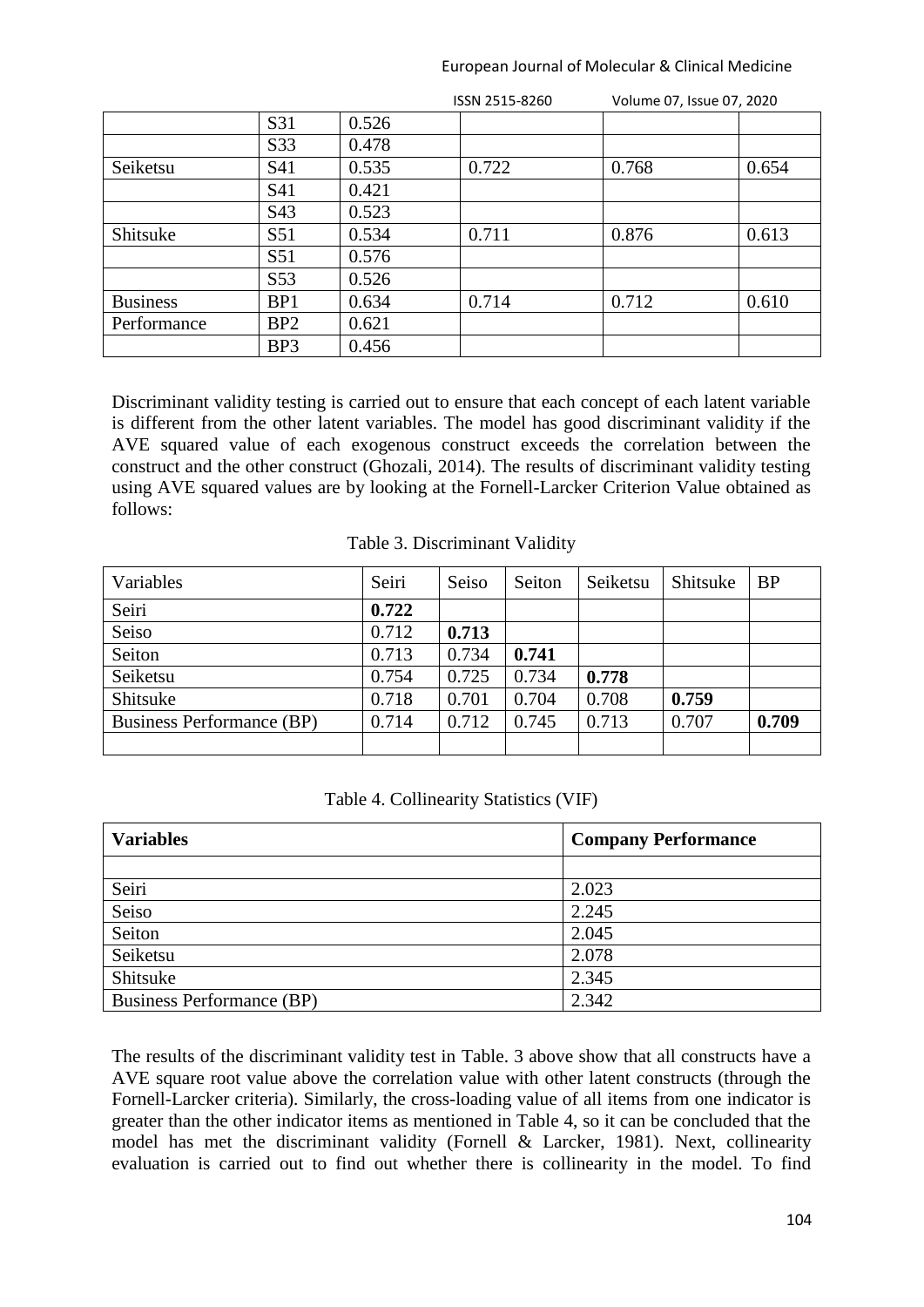|                 | S31             | 0.526 |       |       |       |
|-----------------|-----------------|-------|-------|-------|-------|
|                 | S33             | 0.478 |       |       |       |
| Seiketsu        | S41             | 0.535 | 0.722 | 0.768 | 0.654 |
|                 | S41             | 0.421 |       |       |       |
|                 | S43             | 0.523 |       |       |       |
| Shitsuke        | S51             | 0.534 | 0.711 | 0.876 | 0.613 |
|                 | S51             | 0.576 |       |       |       |
|                 | S53             | 0.526 |       |       |       |
| <b>Business</b> | BP1             | 0.634 | 0.714 | 0.712 | 0.610 |
| Performance     | BP <sub>2</sub> | 0.621 |       |       |       |
|                 | BP <sub>3</sub> | 0.456 |       |       |       |

ISSN 2515-8260 Volume 07, Issue 07, 2020

Discriminant validity testing is carried out to ensure that each concept of each latent variable is different from the other latent variables. The model has good discriminant validity if the AVE squared value of each exogenous construct exceeds the correlation between the construct and the other construct (Ghozali, 2014). The results of discriminant validity testing using AVE squared values are by looking at the Fornell-Larcker Criterion Value obtained as follows:

#### Table 3. Discriminant Validity

| Variables                 | Seiri | Seiso | Seiton | Seiketsu | Shitsuke | <b>BP</b> |
|---------------------------|-------|-------|--------|----------|----------|-----------|
| Seiri                     | 0.722 |       |        |          |          |           |
| Seiso                     | 0.712 | 0.713 |        |          |          |           |
| Seiton                    | 0.713 | 0.734 | 0.741  |          |          |           |
| Seiketsu                  | 0.754 | 0.725 | 0.734  | 0.778    |          |           |
| Shitsuke                  | 0.718 | 0.701 | 0.704  | 0.708    | 0.759    |           |
| Business Performance (BP) | 0.714 | 0.712 | 0.745  | 0.713    | 0.707    | 0.709     |
|                           |       |       |        |          |          |           |

#### Table 4. Collinearity Statistics (VIF)

| <b>Variables</b>          | <b>Company Performance</b> |  |  |
|---------------------------|----------------------------|--|--|
|                           |                            |  |  |
| Seiri                     | 2.023                      |  |  |
| Seiso                     | 2.245                      |  |  |
| Seiton                    | 2.045                      |  |  |
| Seiketsu                  | 2.078                      |  |  |
| Shitsuke                  | 2.345                      |  |  |
| Business Performance (BP) | 2.342                      |  |  |

The results of the discriminant validity test in Table. 3 above show that all constructs have a AVE square root value above the correlation value with other latent constructs (through the Fornell-Larcker criteria). Similarly, the cross-loading value of all items from one indicator is greater than the other indicator items as mentioned in Table 4, so it can be concluded that the model has met the discriminant validity (Fornell & Larcker, 1981). Next, collinearity evaluation is carried out to find out whether there is collinearity in the model. To find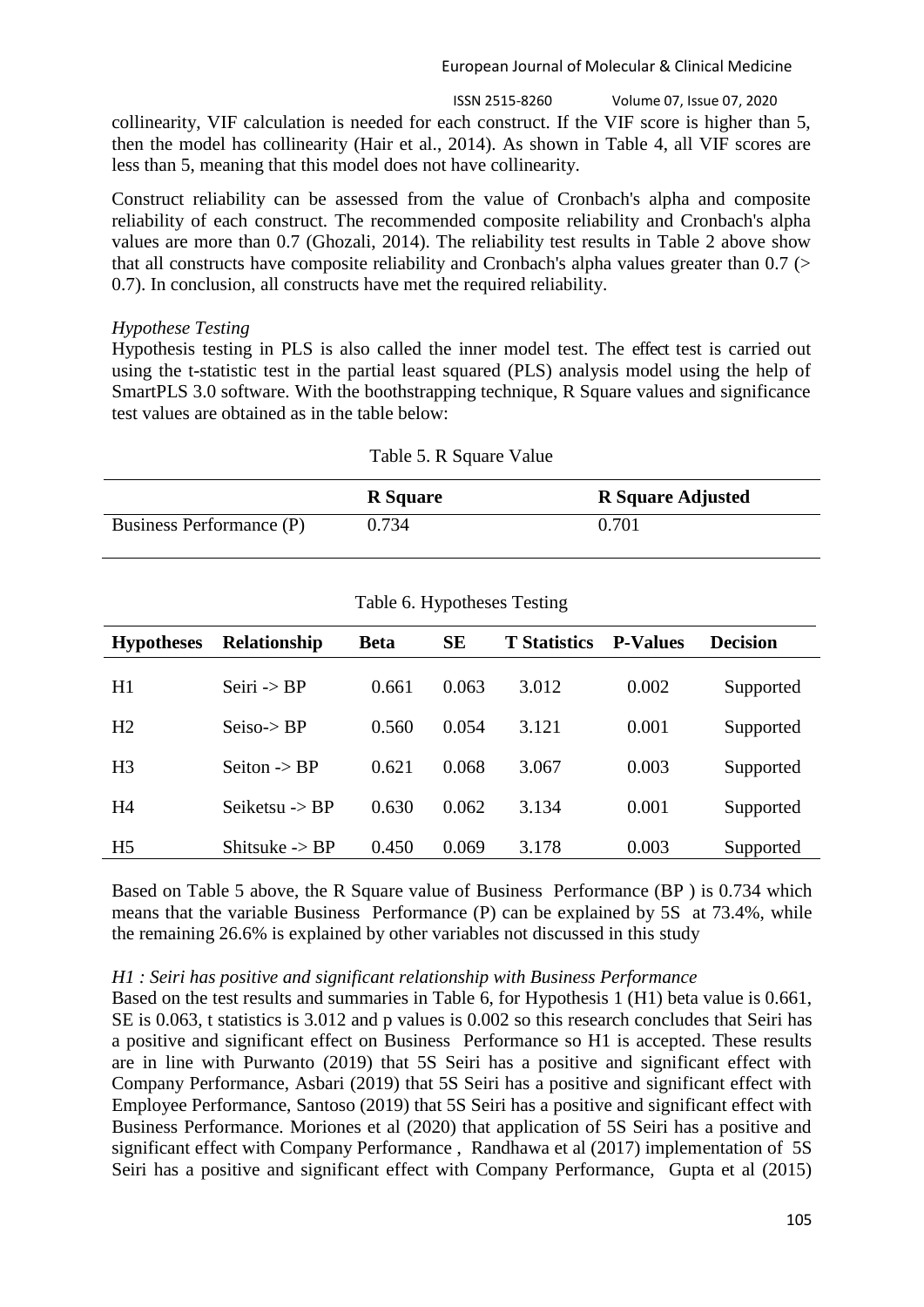ISSN 2515-8260 Volume 07, Issue 07, 2020

collinearity, VIF calculation is needed for each construct. If the VIF score is higher than 5, then the model has collinearity (Hair et al., 2014). As shown in Table 4, all VIF scores are less than 5, meaning that this model does not have collinearity.

Construct reliability can be assessed from the value of Cronbach's alpha and composite reliability of each construct. The recommended composite reliability and Cronbach's alpha values are more than 0.7 (Ghozali, 2014). The reliability test results in Table 2 above show that all constructs have composite reliability and Cronbach's alpha values greater than  $0.7$  ( $>$ 0.7). In conclusion, all constructs have met the required reliability.

## *Hypothese Testing*

Hypothesis testing in PLS is also called the inner model test. The effect test is carried out using the t-statistic test in the partial least squared (PLS) analysis model using the help of SmartPLS 3.0 software. With the boothstrapping technique, R Square values and significance test values are obtained as in the table below:

|                          | Table 5. R Square Value |                          |  |
|--------------------------|-------------------------|--------------------------|--|
|                          | <b>R</b> Square         | <b>R</b> Square Adjusted |  |
| Business Performance (P) | 0.734                   | 0.701                    |  |

 $T$  11  $\epsilon$  D  $\alpha$   $V1$ 

| <b>Hypotheses</b> | <b>Relationship</b>       | <b>Beta</b> | <b>SE</b> | <b>T</b> Statistics | <b>P-Values</b> | <b>Decision</b> |
|-------------------|---------------------------|-------------|-----------|---------------------|-----------------|-----------------|
| H1                | Seiri $\rightarrow$ BP    | 0.661       | 0.063     | 3.012               | 0.002           | Supported       |
| H <sub>2</sub>    | $Seiso->BP$               | 0.560       | 0.054     | 3.121               | 0.001           | Supported       |
| H <sub>3</sub>    | Seiton $\rightarrow$ BP   | 0.621       | 0.068     | 3.067               | 0.003           | Supported       |
| H <sub>4</sub>    | Seiketsu $\rightarrow$ BP | 0.630       | 0.062     | 3.134               | 0.001           | Supported       |
| H <sub>5</sub>    | Shitsuke $\rightarrow$ BP | 0.450       | 0.069     | 3.178               | 0.003           | Supported       |

## Table 6. Hypotheses Testing

Based on Table 5 above, the R Square value of Business Performance (BP ) is 0.734 which means that the variable Business Performance (P) can be explained by 5S at 73.4%, while the remaining 26.6% is explained by other variables not discussed in this study

## *H1 : Seiri has positive and significant relationship with Business Performance*

Based on the test results and summaries in Table 6, for Hypothesis 1 (H1) beta value is 0.661, SE is 0.063, t statistics is 3.012 and p values is 0.002 so this research concludes that Seiri has a positive and significant effect on Business Performance so H1 is accepted. These results are in line with Purwanto (2019) that 5S Seiri has a positive and significant effect with Company Performance, Asbari (2019) that 5S Seiri has a positive and significant effect with Employee Performance, Santoso (2019) that 5S Seiri has a positive and significant effect with Business Performance. Moriones et al (2020) that application of 5S Seiri has a positive and significant effect with Company Performance , Randhawa et al (2017) implementation of 5S Seiri has a positive and significant effect with Company Performance, Gupta et al (2015)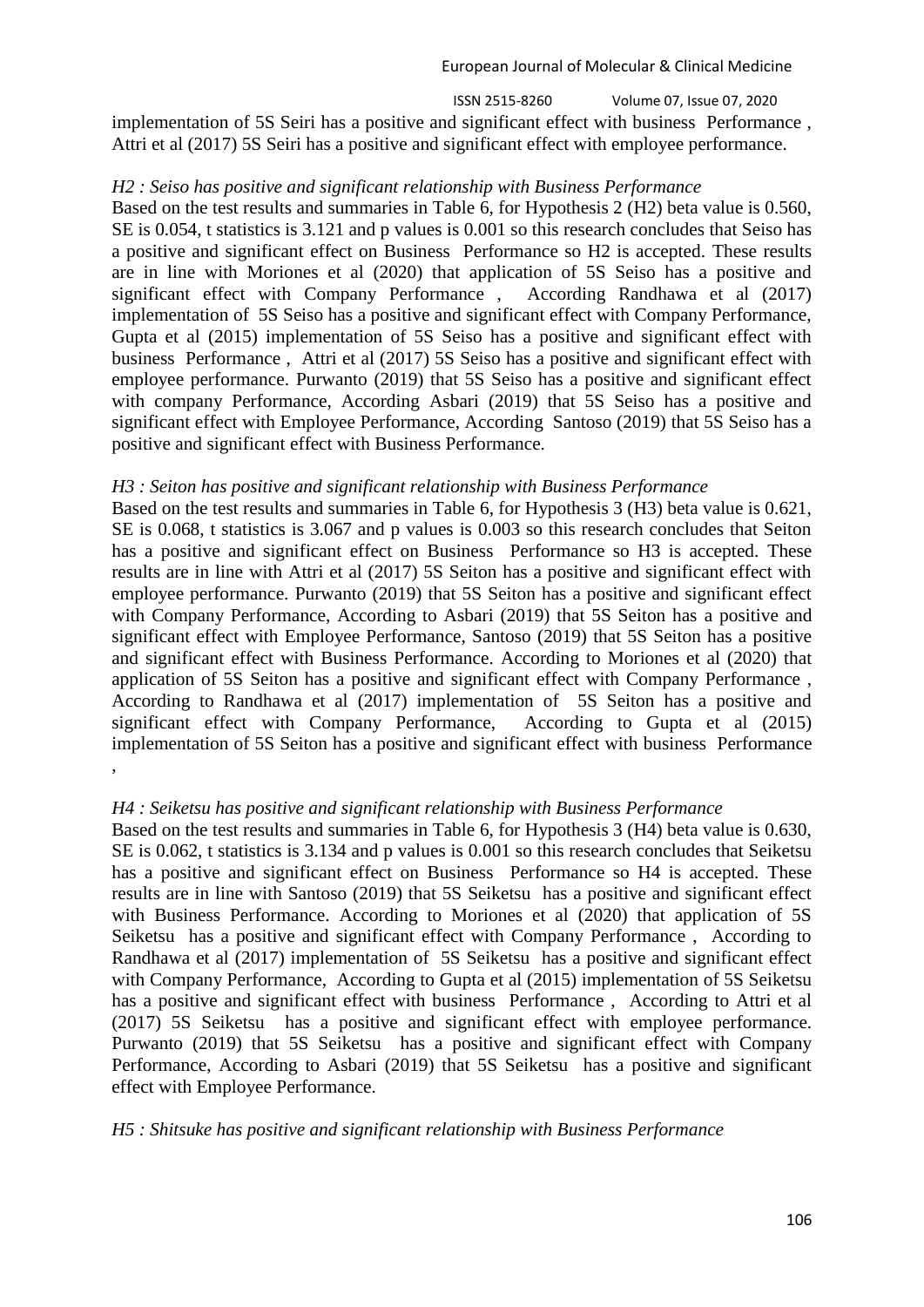ISSN 2515-8260 Volume 07, Issue 07, 2020

implementation of 5S Seiri has a positive and significant effect with business Performance , Attri et al (2017) 5S Seiri has a positive and significant effect with employee performance.

## *H2 : Seiso has positive and significant relationship with Business Performance*

Based on the test results and summaries in Table 6, for Hypothesis 2 (H2) beta value is 0.560, SE is 0.054, t statistics is 3.121 and p values is 0.001 so this research concludes that Seiso has a positive and significant effect on Business Performance so H2 is accepted. These results are in line with Moriones et al (2020) that application of 5S Seiso has a positive and significant effect with Company Performance , According Randhawa et al (2017) implementation of 5S Seiso has a positive and significant effect with Company Performance, Gupta et al (2015) implementation of 5S Seiso has a positive and significant effect with business Performance , Attri et al (2017) 5S Seiso has a positive and significant effect with employee performance. Purwanto (2019) that 5S Seiso has a positive and significant effect with company Performance, According Asbari (2019) that 5S Seiso has a positive and significant effect with Employee Performance, According Santoso (2019) that 5S Seiso has a positive and significant effect with Business Performance.

## *H3 : Seiton has positive and significant relationship with Business Performance*

Based on the test results and summaries in Table 6, for Hypothesis 3 (H3) beta value is 0.621, SE is 0.068, t statistics is 3.067 and p values is 0.003 so this research concludes that Seiton has a positive and significant effect on Business Performance so H3 is accepted. These results are in line with Attri et al (2017) 5S Seiton has a positive and significant effect with employee performance. Purwanto (2019) that 5S Seiton has a positive and significant effect with Company Performance, According to Asbari (2019) that 5S Seiton has a positive and significant effect with Employee Performance, Santoso (2019) that 5S Seiton has a positive and significant effect with Business Performance. According to Moriones et al (2020) that application of 5S Seiton has a positive and significant effect with Company Performance , According to Randhawa et al (2017) implementation of 5S Seiton has a positive and significant effect with Company Performance, According to Gupta et al (2015) implementation of 5S Seiton has a positive and significant effect with business Performance ,

# *H4 : Seiketsu has positive and significant relationship with Business Performance*

Based on the test results and summaries in Table 6, for Hypothesis 3 (H4) beta value is 0.630, SE is 0.062, t statistics is 3.134 and p values is 0.001 so this research concludes that Seiketsu has a positive and significant effect on Business Performance so H4 is accepted. These results are in line with Santoso (2019) that 5S Seiketsu has a positive and significant effect with Business Performance. According to Moriones et al (2020) that application of 5S Seiketsu has a positive and significant effect with Company Performance , According to Randhawa et al (2017) implementation of 5S Seiketsu has a positive and significant effect with Company Performance, According to Gupta et al (2015) implementation of 5S Seiketsu has a positive and significant effect with business Performance , According to Attri et al (2017) 5S Seiketsu has a positive and significant effect with employee performance. Purwanto (2019) that 5S Seiketsu has a positive and significant effect with Company Performance, According to Asbari (2019) that 5S Seiketsu has a positive and significant effect with Employee Performance.

## *H5 : Shitsuke has positive and significant relationship with Business Performance*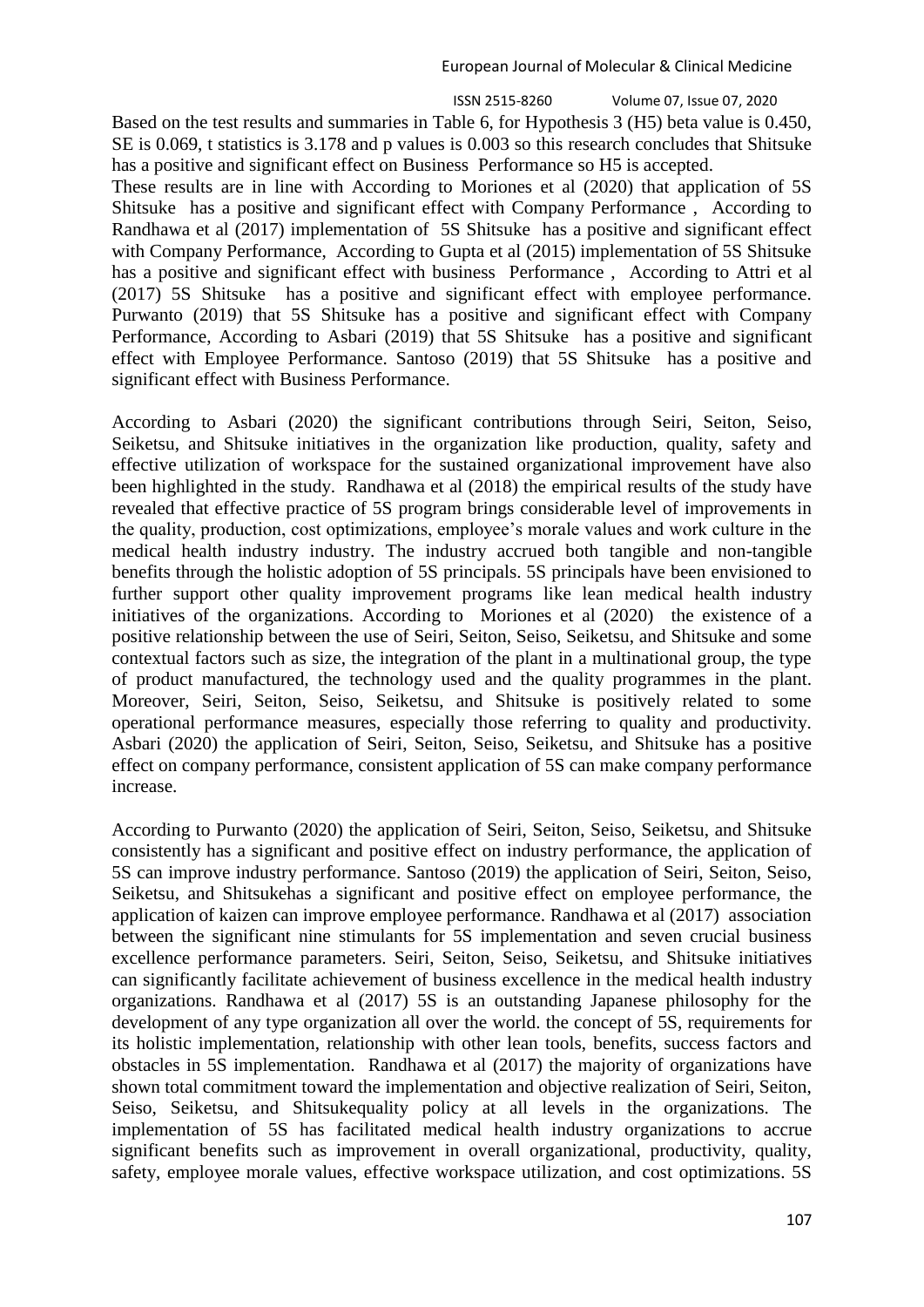Based on the test results and summaries in Table 6, for Hypothesis 3 (H5) beta value is 0.450, SE is 0.069, t statistics is 3.178 and p values is 0.003 so this research concludes that Shitsuke has a positive and significant effect on Business Performance so H5 is accepted.

These results are in line with According to Moriones et al (2020) that application of 5S Shitsuke has a positive and significant effect with Company Performance , According to Randhawa et al (2017) implementation of 5S Shitsuke has a positive and significant effect with Company Performance, According to Gupta et al (2015) implementation of 5S Shitsuke has a positive and significant effect with business Performance , According to Attri et al (2017) 5S Shitsuke has a positive and significant effect with employee performance. Purwanto (2019) that 5S Shitsuke has a positive and significant effect with Company Performance, According to Asbari (2019) that 5S Shitsuke has a positive and significant effect with Employee Performance. Santoso (2019) that 5S Shitsuke has a positive and significant effect with Business Performance.

According to Asbari (2020) the significant contributions through Seiri, Seiton, Seiso, Seiketsu, and Shitsuke initiatives in the organization like production, quality, safety and effective utilization of workspace for the sustained organizational improvement have also been highlighted in the study. Randhawa et al (2018) the empirical results of the study have revealed that effective practice of 5S program brings considerable level of improvements in the quality, production, cost optimizations, employee's morale values and work culture in the medical health industry industry. The industry accrued both tangible and non-tangible benefits through the holistic adoption of 5S principals. 5S principals have been envisioned to further support other quality improvement programs like lean medical health industry initiatives of the organizations. According to Moriones et al (2020) the existence of a positive relationship between the use of Seiri, Seiton, Seiso, Seiketsu, and Shitsuke and some contextual factors such as size, the integration of the plant in a multinational group, the type of product manufactured, the technology used and the quality programmes in the plant. Moreover, Seiri, Seiton, Seiso, Seiketsu, and Shitsuke is positively related to some operational performance measures, especially those referring to quality and productivity. Asbari (2020) the application of Seiri, Seiton, Seiso, Seiketsu, and Shitsuke has a positive effect on company performance, consistent application of 5S can make company performance increase.

According to Purwanto (2020) the application of Seiri, Seiton, Seiso, Seiketsu, and Shitsuke consistently has a significant and positive effect on industry performance, the application of 5S can improve industry performance. Santoso (2019) the application of Seiri, Seiton, Seiso, Seiketsu, and Shitsukehas a significant and positive effect on employee performance, the application of kaizen can improve employee performance. Randhawa et al (2017) association between the significant nine stimulants for 5S implementation and seven crucial business excellence performance parameters. Seiri, Seiton, Seiso, Seiketsu, and Shitsuke initiatives can significantly facilitate achievement of business excellence in the medical health industry organizations. Randhawa et al (2017) 5S is an outstanding Japanese philosophy for the development of any type organization all over the world. the concept of 5S, requirements for its holistic implementation, relationship with other lean tools, benefits, success factors and obstacles in 5S implementation. Randhawa et al (2017) the majority of organizations have shown total commitment toward the implementation and objective realization of Seiri, Seiton, Seiso, Seiketsu, and Shitsukequality policy at all levels in the organizations. The implementation of 5S has facilitated medical health industry organizations to accrue significant benefits such as improvement in overall organizational, productivity, quality, safety, employee morale values, effective workspace utilization, and cost optimizations. 5S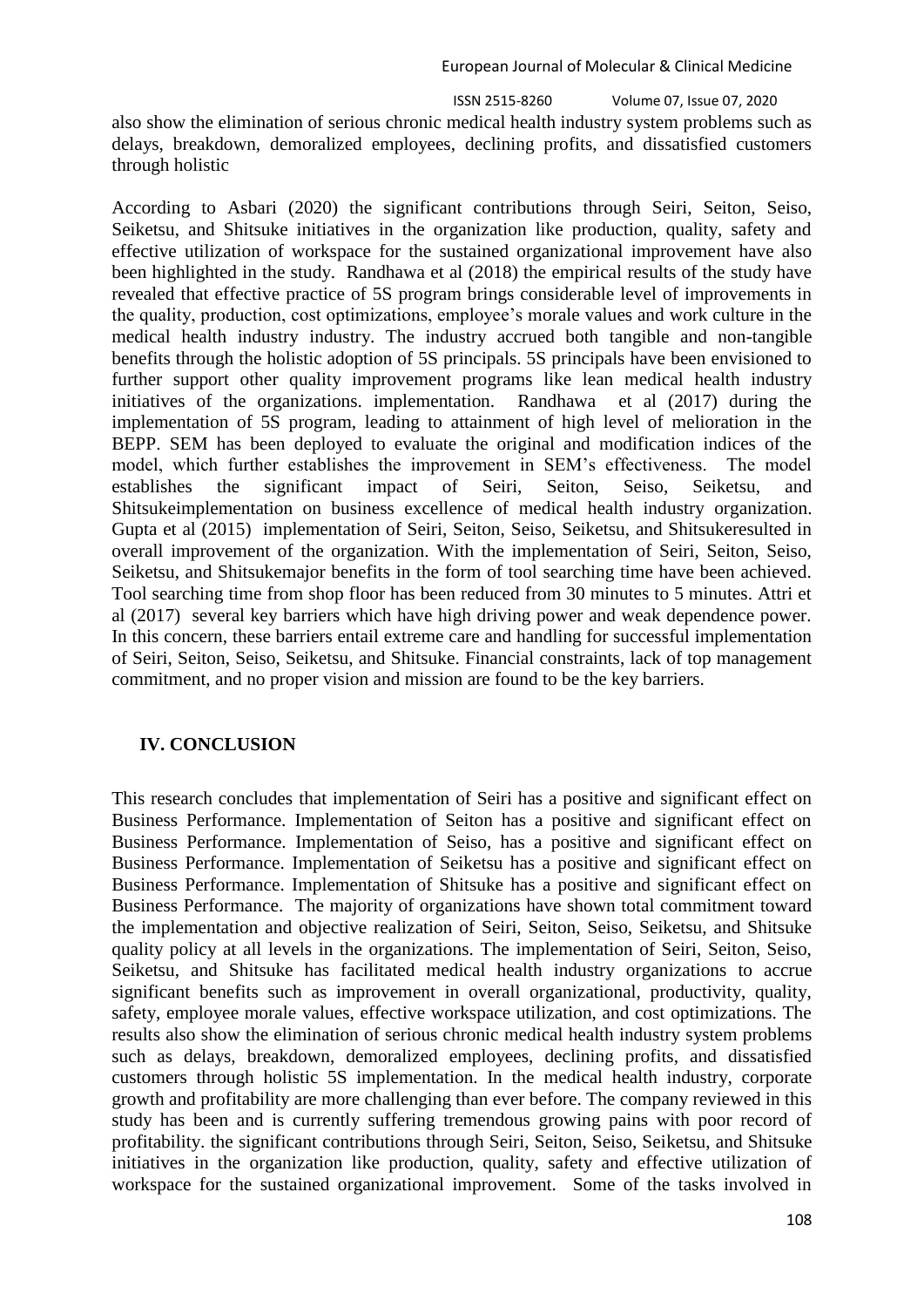also show the elimination of serious chronic medical health industry system problems such as delays, breakdown, demoralized employees, declining profits, and dissatisfied customers through holistic

According to Asbari (2020) the significant contributions through Seiri, Seiton, Seiso, Seiketsu, and Shitsuke initiatives in the organization like production, quality, safety and effective utilization of workspace for the sustained organizational improvement have also been highlighted in the study. Randhawa et al (2018) the empirical results of the study have revealed that effective practice of 5S program brings considerable level of improvements in the quality, production, cost optimizations, employee's morale values and work culture in the medical health industry industry. The industry accrued both tangible and non-tangible benefits through the holistic adoption of 5S principals. 5S principals have been envisioned to further support other quality improvement programs like lean medical health industry initiatives of the organizations. implementation. Randhawa et al (2017) during the implementation of 5S program, leading to attainment of high level of melioration in the BEPP. SEM has been deployed to evaluate the original and modification indices of the model, which further establishes the improvement in SEM's effectiveness. The model establishes the significant impact of Seiri, Seiton, Seiso, Seiketsu, and Shitsukeimplementation on business excellence of medical health industry organization. Gupta et al (2015) implementation of Seiri, Seiton, Seiso, Seiketsu, and Shitsukeresulted in overall improvement of the organization. With the implementation of Seiri, Seiton, Seiso, Seiketsu, and Shitsukemajor benefits in the form of tool searching time have been achieved. Tool searching time from shop floor has been reduced from 30 minutes to 5 minutes. Attri et al (2017) several key barriers which have high driving power and weak dependence power. In this concern, these barriers entail extreme care and handling for successful implementation of Seiri, Seiton, Seiso, Seiketsu, and Shitsuke. Financial constraints, lack of top management commitment, and no proper vision and mission are found to be the key barriers.

## **IV. CONCLUSION**

This research concludes that implementation of Seiri has a positive and significant effect on Business Performance. Implementation of Seiton has a positive and significant effect on Business Performance. Implementation of Seiso, has a positive and significant effect on Business Performance. Implementation of Seiketsu has a positive and significant effect on Business Performance. Implementation of Shitsuke has a positive and significant effect on Business Performance. The majority of organizations have shown total commitment toward the implementation and objective realization of Seiri, Seiton, Seiso, Seiketsu, and Shitsuke quality policy at all levels in the organizations. The implementation of Seiri, Seiton, Seiso, Seiketsu, and Shitsuke has facilitated medical health industry organizations to accrue significant benefits such as improvement in overall organizational, productivity, quality, safety, employee morale values, effective workspace utilization, and cost optimizations. The results also show the elimination of serious chronic medical health industry system problems such as delays, breakdown, demoralized employees, declining profits, and dissatisfied customers through holistic 5S implementation. In the medical health industry, corporate growth and profitability are more challenging than ever before. The company reviewed in this study has been and is currently suffering tremendous growing pains with poor record of profitability. the significant contributions through Seiri, Seiton, Seiso, Seiketsu, and Shitsuke initiatives in the organization like production, quality, safety and effective utilization of workspace for the sustained organizational improvement. Some of the tasks involved in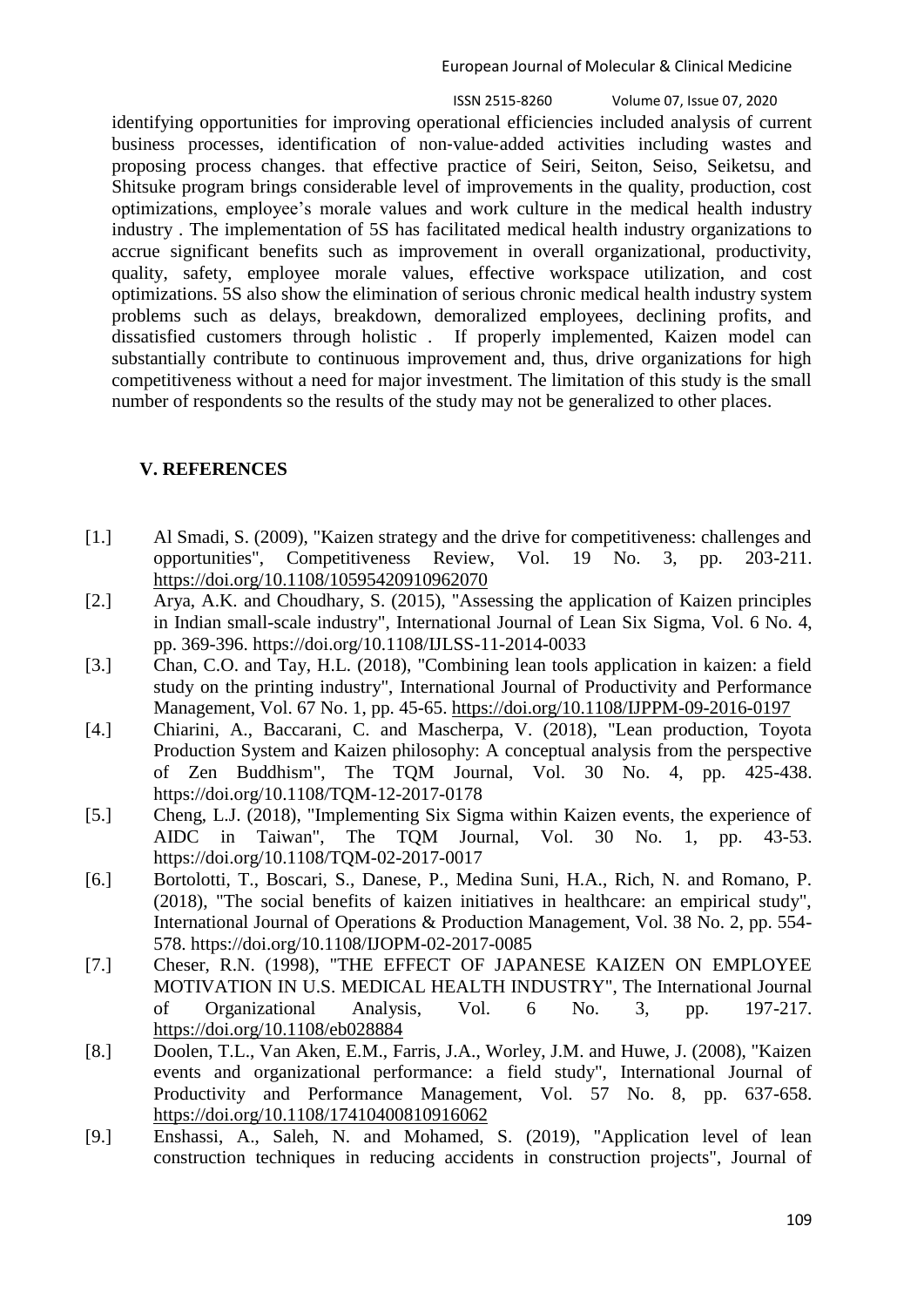ISSN 2515-8260 Volume 07, Issue 07, 2020

identifying opportunities for improving operational efficiencies included analysis of current business processes, identification of non‐value‐added activities including wastes and proposing process changes. that effective practice of Seiri, Seiton, Seiso, Seiketsu, and Shitsuke program brings considerable level of improvements in the quality, production, cost optimizations, employee's morale values and work culture in the medical health industry industry . The implementation of 5S has facilitated medical health industry organizations to accrue significant benefits such as improvement in overall organizational, productivity, quality, safety, employee morale values, effective workspace utilization, and cost optimizations. 5S also show the elimination of serious chronic medical health industry system problems such as delays, breakdown, demoralized employees, declining profits, and dissatisfied customers through holistic . If properly implemented, Kaizen model can substantially contribute to continuous improvement and, thus, drive organizations for high competitiveness without a need for major investment. The limitation of this study is the small number of respondents so the results of the study may not be generalized to other places.

# **V. REFERENCES**

- [1.] Al Smadi, S. (2009), "Kaizen strategy and the drive for competitiveness: challenges and opportunities", Competitiveness Review, Vol. 19 No. 3, pp. 203-211. <https://doi.org/10.1108/10595420910962070>
- [2.] Arya, A.K. and Choudhary, S. (2015), "Assessing the application of Kaizen principles in Indian small-scale industry", International Journal of Lean Six Sigma, Vol. 6 No. 4, pp. 369-396. https://doi.org/10.1108/IJLSS-11-2014-0033
- [3.] Chan, C.O. and Tay, H.L. (2018), "Combining lean tools application in kaizen: a field study on the printing industry", International Journal of Productivity and Performance Management, Vol. 67 No. 1, pp. 45-65.<https://doi.org/10.1108/IJPPM-09-2016-0197>
- [4.] Chiarini, A., Baccarani, C. and Mascherpa, V. (2018), "Lean production, Toyota Production System and Kaizen philosophy: A conceptual analysis from the perspective of Zen Buddhism", The TQM Journal, Vol. 30 No. 4, pp. 425-438. https://doi.org/10.1108/TQM-12-2017-0178
- [5.] Cheng, L.J. (2018), "Implementing Six Sigma within Kaizen events, the experience of AIDC in Taiwan", The TQM Journal, Vol. 30 No. 1, pp. 43-53. https://doi.org/10.1108/TQM-02-2017-0017
- [6.] Bortolotti, T., Boscari, S., Danese, P., Medina Suni, H.A., Rich, N. and Romano, P. (2018), "The social benefits of kaizen initiatives in healthcare: an empirical study", International Journal of Operations & Production Management, Vol. 38 No. 2, pp. 554- 578. https://doi.org/10.1108/IJOPM-02-2017-0085
- [7.] Cheser, R.N. (1998), "THE EFFECT OF JAPANESE KAIZEN ON EMPLOYEE MOTIVATION IN U.S. MEDICAL HEALTH INDUSTRY", The International Journal of Organizational Analysis, Vol. 6 No. 3, pp. 197-217. <https://doi.org/10.1108/eb028884>
- [8.] Doolen, T.L., Van Aken, E.M., Farris, J.A., Worley, J.M. and Huwe, J. (2008), "Kaizen events and organizational performance: a field study", International Journal of Productivity and Performance Management, Vol. 57 No. 8, pp. 637-658. <https://doi.org/10.1108/17410400810916062>
- [9.] Enshassi, A., Saleh, N. and Mohamed, S. (2019), "Application level of lean construction techniques in reducing accidents in construction projects", Journal of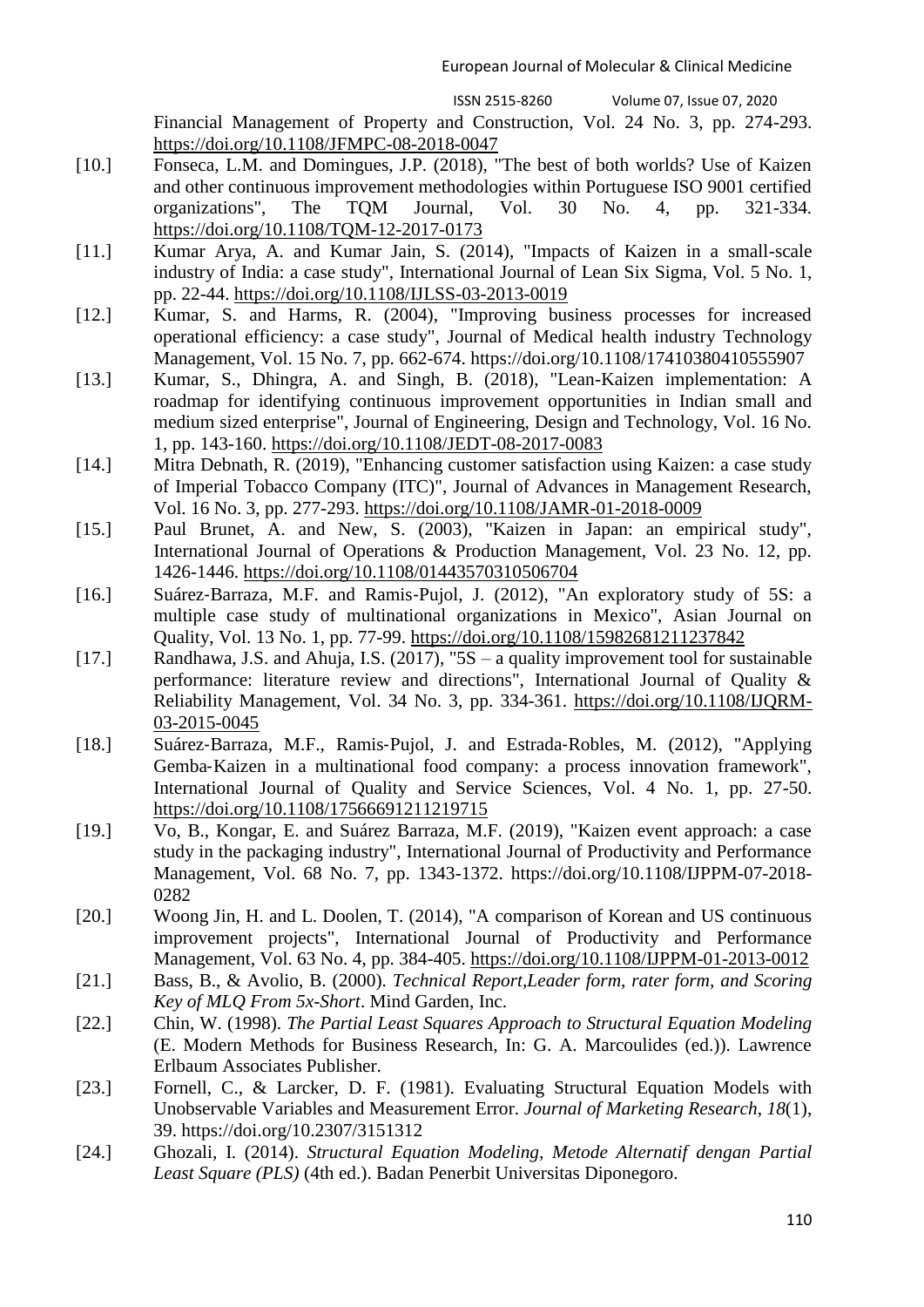Financial Management of Property and Construction, Vol. 24 No. 3, pp. 274-293. <https://doi.org/10.1108/JFMPC-08-2018-0047>

- [10.] Fonseca, L.M. and Domingues, J.P. (2018), "The best of both worlds? Use of Kaizen and other continuous improvement methodologies within Portuguese ISO 9001 certified organizations", The TQM Journal, Vol. 30 No. 4, pp. 321-334. <https://doi.org/10.1108/TQM-12-2017-0173>
- [11.] Kumar Arya, A. and Kumar Jain, S. (2014), "Impacts of Kaizen in a small-scale industry of India: a case study", International Journal of Lean Six Sigma, Vol. 5 No. 1, pp. 22-44.<https://doi.org/10.1108/IJLSS-03-2013-0019>
- [12.] Kumar, S. and Harms, R. (2004), "Improving business processes for increased operational efficiency: a case study", Journal of Medical health industry Technology Management, Vol. 15 No. 7, pp. 662-674. https://doi.org/10.1108/17410380410555907
- [13.] Kumar, S., Dhingra, A. and Singh, B. (2018), "Lean-Kaizen implementation: A roadmap for identifying continuous improvement opportunities in Indian small and medium sized enterprise", Journal of Engineering, Design and Technology, Vol. 16 No. 1, pp. 143-160.<https://doi.org/10.1108/JEDT-08-2017-0083>
- [14.] Mitra Debnath, R. (2019), "Enhancing customer satisfaction using Kaizen: a case study of Imperial Tobacco Company (ITC)", Journal of Advances in Management Research, Vol. 16 No. 3, pp. 277-293.<https://doi.org/10.1108/JAMR-01-2018-0009>
- [15.] Paul Brunet, A. and New, S. (2003), "Kaizen in Japan: an empirical study", International Journal of Operations & Production Management, Vol. 23 No. 12, pp. 1426-1446.<https://doi.org/10.1108/01443570310506704>
- [16.] Suárez‐Barraza, M.F. and Ramis‐Pujol, J. (2012), "An exploratory study of 5S: a multiple case study of multinational organizations in Mexico", Asian Journal on Quality, Vol. 13 No. 1, pp. 77-99.<https://doi.org/10.1108/15982681211237842>
- [17.] Randhawa, J.S. and Ahuja, I.S. (2017), "5S a quality improvement tool for sustainable performance: literature review and directions", International Journal of Quality & Reliability Management, Vol. 34 No. 3, pp. 334-361. [https://doi.org/10.1108/IJQRM-](https://doi.org/10.1108/IJQRM-03-2015-0045)[03-2015-0045](https://doi.org/10.1108/IJQRM-03-2015-0045)
- [18.] Suárez‐Barraza, M.F., Ramis‐Pujol, J. and Estrada‐Robles, M. (2012), "Applying Gemba‐Kaizen in a multinational food company: a process innovation framework", International Journal of Quality and Service Sciences, Vol. 4 No. 1, pp. 27-50. <https://doi.org/10.1108/17566691211219715>
- [19.] Vo, B., Kongar, E. and Suárez Barraza, M.F. (2019), "Kaizen event approach: a case study in the packaging industry", International Journal of Productivity and Performance Management, Vol. 68 No. 7, pp. 1343-1372. https://doi.org/10.1108/IJPPM-07-2018- 0282
- [20.] Woong Jin, H. and L. Doolen, T. (2014), "A comparison of Korean and US continuous improvement projects", International Journal of Productivity and Performance Management, Vol. 63 No. 4, pp. 384-405.<https://doi.org/10.1108/IJPPM-01-2013-0012>
- [21.] Bass, B., & Avolio, B. (2000). *Technical Report,Leader form, rater form, and Scoring Key of MLQ From 5x-Short*. Mind Garden, Inc.
- [22.] Chin, W. (1998). *The Partial Least Squares Approach to Structural Equation Modeling* (E. Modern Methods for Business Research, In: G. A. Marcoulides (ed.)). Lawrence Erlbaum Associates Publisher.
- [23.] Fornell, C., & Larcker, D. F. (1981). Evaluating Structural Equation Models with Unobservable Variables and Measurement Error. *Journal of Marketing Research*, *18*(1), 39. https://doi.org/10.2307/3151312
- [24.] Ghozali, I. (2014). *Structural Equation Modeling, Metode Alternatif dengan Partial Least Square (PLS)* (4th ed.). Badan Penerbit Universitas Diponegoro.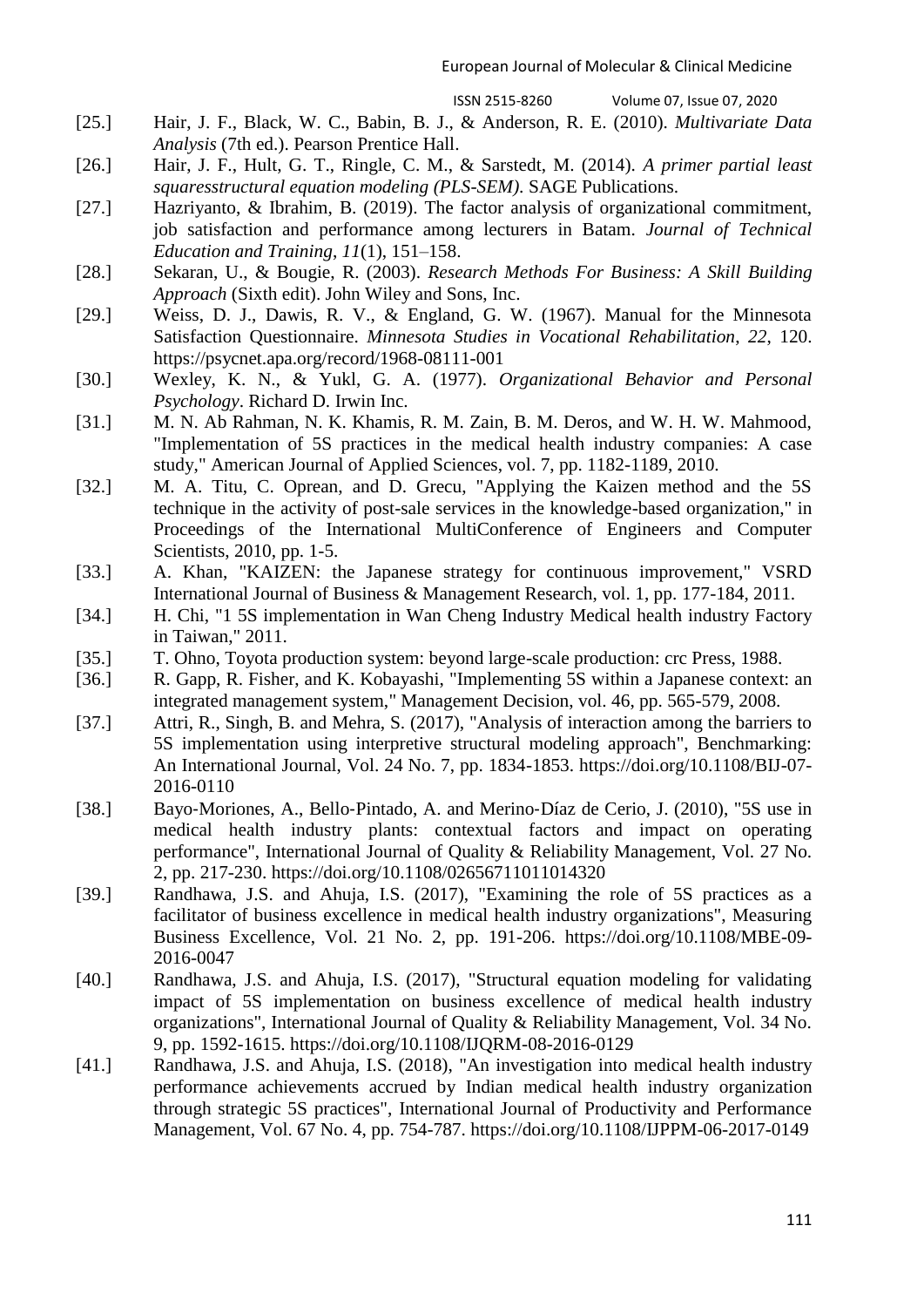- [25.] Hair, J. F., Black, W. C., Babin, B. J., & Anderson, R. E. (2010). *Multivariate Data Analysis* (7th ed.). Pearson Prentice Hall.
- [26.] Hair, J. F., Hult, G. T., Ringle, C. M., & Sarstedt, M. (2014). *A primer partial least squaresstructural equation modeling (PLS-SEM)*. SAGE Publications.
- [27.] Hazriyanto, & Ibrahim, B. (2019). The factor analysis of organizational commitment, job satisfaction and performance among lecturers in Batam. *Journal of Technical Education and Training*, *11*(1), 151–158.
- [28.] Sekaran, U., & Bougie, R. (2003). *Research Methods For Business: A Skill Building Approach* (Sixth edit). John Wiley and Sons, Inc.
- [29.] Weiss, D. J., Dawis, R. V., & England, G. W. (1967). Manual for the Minnesota Satisfaction Questionnaire. *Minnesota Studies in Vocational Rehabilitation*, *22*, 120. https://psycnet.apa.org/record/1968-08111-001
- [30.] Wexley, K. N., & Yukl, G. A. (1977). *Organizational Behavior and Personal Psychology*. Richard D. Irwin Inc.
- [31.] M. N. Ab Rahman, N. K. Khamis, R. M. Zain, B. M. Deros, and W. H. W. Mahmood, "Implementation of 5S practices in the medical health industry companies: A case study," American Journal of Applied Sciences, vol. 7, pp. 1182-1189, 2010.
- [32.] M. A. Titu, C. Oprean, and D. Grecu, "Applying the Kaizen method and the 5S technique in the activity of post-sale services in the knowledge-based organization," in Proceedings of the International MultiConference of Engineers and Computer Scientists, 2010, pp. 1-5.
- [33.] A. Khan, "KAIZEN: the Japanese strategy for continuous improvement," VSRD International Journal of Business & Management Research, vol. 1, pp. 177-184, 2011.
- [34.] H. Chi, "1 5S implementation in Wan Cheng Industry Medical health industry Factory in Taiwan," 2011.
- [35.] T. Ohno, Toyota production system: beyond large-scale production: crc Press, 1988.
- [36.] R. Gapp, R. Fisher, and K. Kobayashi, "Implementing 5S within a Japanese context: an integrated management system," Management Decision, vol. 46, pp. 565-579, 2008.
- [37.] Attri, R., Singh, B. and Mehra, S. (2017), "Analysis of interaction among the barriers to 5S implementation using interpretive structural modeling approach", Benchmarking: An International Journal, Vol. 24 No. 7, pp. 1834-1853. https://doi.org/10.1108/BIJ-07- 2016-0110
- [38.] Bayo-Moriones, A., Bello-Pintado, A. and Merino-Díaz de Cerio, J. (2010), "5S use in medical health industry plants: contextual factors and impact on operating performance", International Journal of Quality & Reliability Management, Vol. 27 No. 2, pp. 217-230. https://doi.org/10.1108/02656711011014320
- [39.] Randhawa, J.S. and Ahuja, I.S. (2017), "Examining the role of 5S practices as a facilitator of business excellence in medical health industry organizations", Measuring Business Excellence, Vol. 21 No. 2, pp. 191-206. https://doi.org/10.1108/MBE-09- 2016-0047
- [40.] Randhawa, J.S. and Ahuja, I.S. (2017), "Structural equation modeling for validating impact of 5S implementation on business excellence of medical health industry organizations", International Journal of Quality & Reliability Management, Vol. 34 No. 9, pp. 1592-1615. https://doi.org/10.1108/IJQRM-08-2016-0129
- [41.] Randhawa, J.S. and Ahuja, I.S. (2018), "An investigation into medical health industry performance achievements accrued by Indian medical health industry organization through strategic 5S practices", International Journal of Productivity and Performance Management, Vol. 67 No. 4, pp. 754-787. https://doi.org/10.1108/IJPPM-06-2017-0149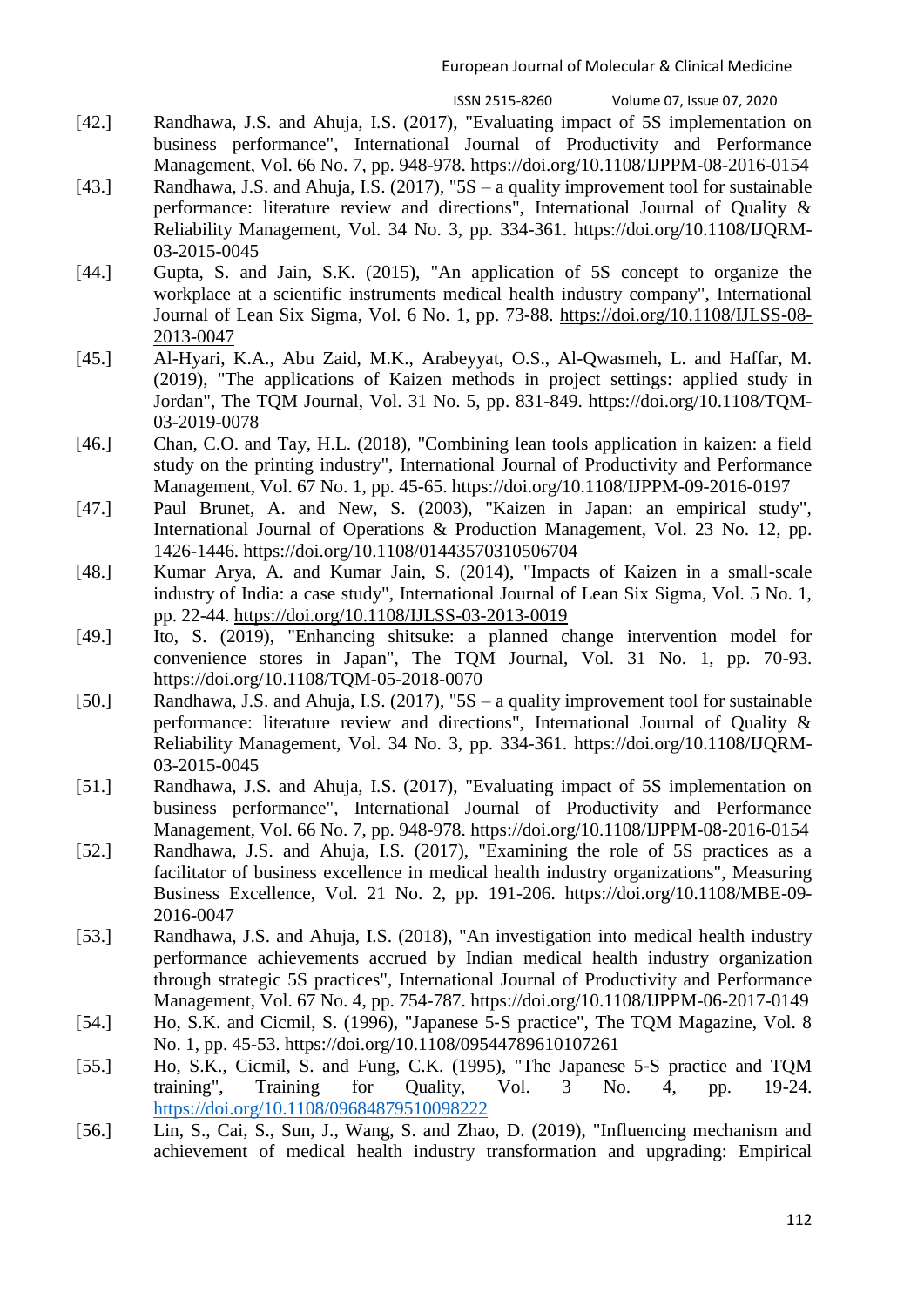- [42.] Randhawa, J.S. and Ahuja, I.S. (2017), "Evaluating impact of 5S implementation on business performance", International Journal of Productivity and Performance Management, Vol. 66 No. 7, pp. 948-978. https://doi.org/10.1108/IJPPM-08-2016-0154
- [43.] Randhawa, J.S. and Ahuja, I.S. (2017), "5S a quality improvement tool for sustainable performance: literature review and directions", International Journal of Quality & Reliability Management, Vol. 34 No. 3, pp. 334-361. https://doi.org/10.1108/IJQRM-03-2015-0045
- [44.] Gupta, S. and Jain, S.K. (2015), "An application of 5S concept to organize the workplace at a scientific instruments medical health industry company", International Journal of Lean Six Sigma, Vol. 6 No. 1, pp. 73-88. [https://doi.org/10.1108/IJLSS-08-](https://doi.org/10.1108/IJLSS-08-2013-0047) [2013-0047](https://doi.org/10.1108/IJLSS-08-2013-0047)
- [45.] Al-Hyari, K.A., Abu Zaid, M.K., Arabeyyat, O.S., Al-Qwasmeh, L. and Haffar, M. (2019), "The applications of Kaizen methods in project settings: applied study in Jordan", The TQM Journal, Vol. 31 No. 5, pp. 831-849. https://doi.org/10.1108/TQM-03-2019-0078
- [46.] Chan, C.O. and Tay, H.L. (2018), "Combining lean tools application in kaizen: a field study on the printing industry", International Journal of Productivity and Performance Management, Vol. 67 No. 1, pp. 45-65. https://doi.org/10.1108/IJPPM-09-2016-0197
- [47.] Paul Brunet, A. and New, S. (2003), "Kaizen in Japan: an empirical study", International Journal of Operations & Production Management, Vol. 23 No. 12, pp. 1426-1446. https://doi.org/10.1108/01443570310506704
- [48.] Kumar Arya, A. and Kumar Jain, S. (2014), "Impacts of Kaizen in a small-scale industry of India: a case study", International Journal of Lean Six Sigma, Vol. 5 No. 1, pp. 22-44.<https://doi.org/10.1108/IJLSS-03-2013-0019>
- [49.] Ito, S. (2019), "Enhancing shitsuke: a planned change intervention model for convenience stores in Japan", The TQM Journal, Vol. 31 No. 1, pp. 70-93. https://doi.org/10.1108/TQM-05-2018-0070
- [50.] Randhawa, J.S. and Ahuja, I.S. (2017), "5S a quality improvement tool for sustainable performance: literature review and directions", International Journal of Quality & Reliability Management, Vol. 34 No. 3, pp. 334-361. https://doi.org/10.1108/IJQRM-03-2015-0045
- [51.] Randhawa, J.S. and Ahuja, I.S. (2017), "Evaluating impact of 5S implementation on business performance", International Journal of Productivity and Performance Management, Vol. 66 No. 7, pp. 948-978. https://doi.org/10.1108/IJPPM-08-2016-0154
- [52.] Randhawa, J.S. and Ahuja, I.S. (2017), "Examining the role of 5S practices as a facilitator of business excellence in medical health industry organizations", Measuring Business Excellence, Vol. 21 No. 2, pp. 191-206. https://doi.org/10.1108/MBE-09- 2016-0047
- [53.] Randhawa, J.S. and Ahuja, I.S. (2018), "An investigation into medical health industry performance achievements accrued by Indian medical health industry organization through strategic 5S practices", International Journal of Productivity and Performance Management, Vol. 67 No. 4, pp. 754-787. https://doi.org/10.1108/IJPPM-06-2017-0149
- [54.] Ho, S.K. and Cicmil, S. (1996), "Japanese 5‐S practice", The TQM Magazine, Vol. 8 No. 1, pp. 45-53. https://doi.org/10.1108/09544789610107261
- [55.] Ho, S.K., Cicmil, S. and Fung, C.K. (1995), "The Japanese 5‐S practice and TQM training", Training for Quality, Vol. 3 No. 4, pp. 19-24. <https://doi.org/10.1108/09684879510098222>
- [56.] Lin, S., Cai, S., Sun, J., Wang, S. and Zhao, D. (2019), "Influencing mechanism and achievement of medical health industry transformation and upgrading: Empirical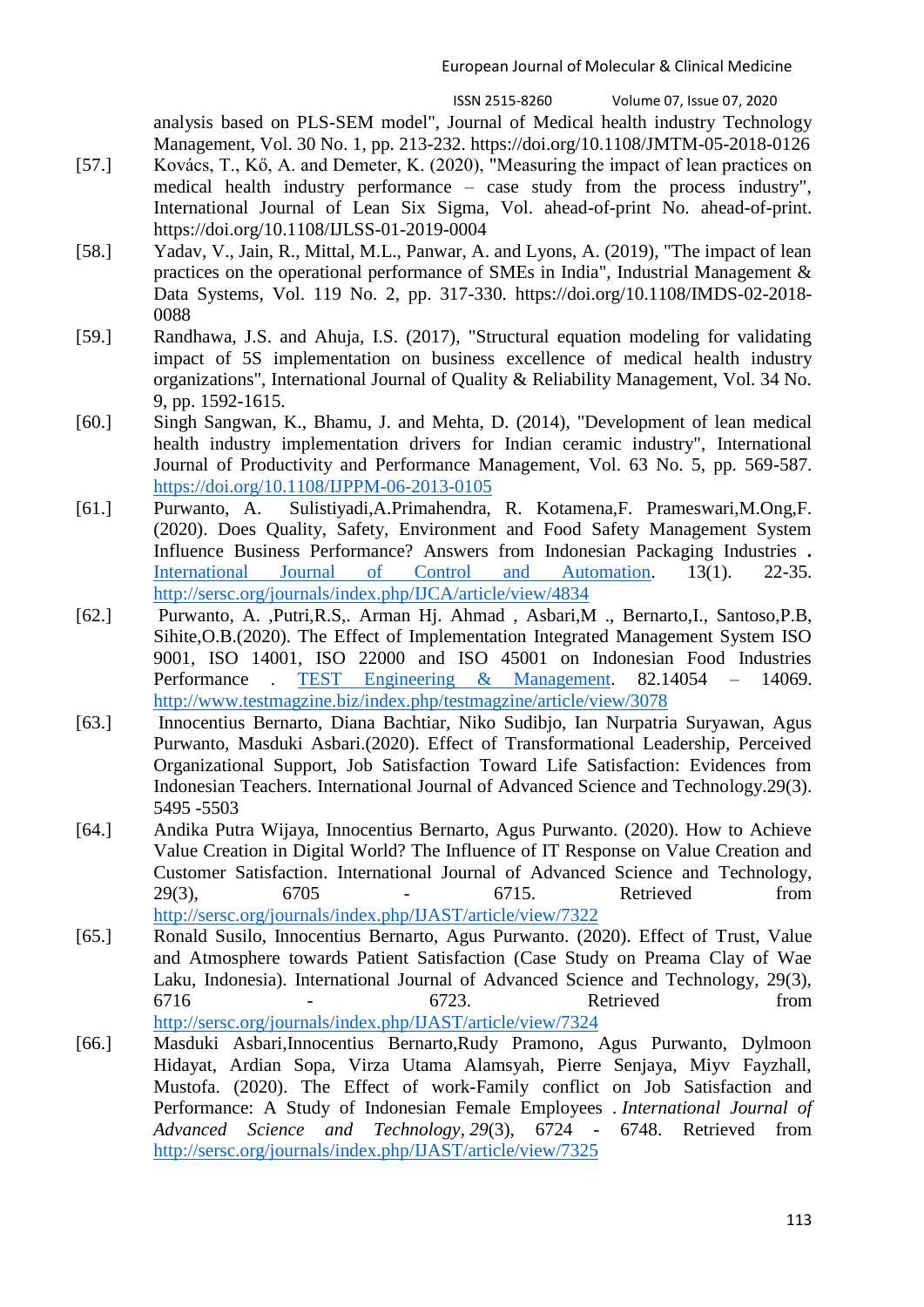analysis based on PLS-SEM model", Journal of Medical health industry Technology Management, Vol. 30 No. 1, pp. 213-232. https://doi.org/10.1108/JMTM-05-2018-0126

- [57.] Kovács, T., Kő, A. and Demeter, K. (2020), "Measuring the impact of lean practices on medical health industry performance – case study from the process industry", International Journal of Lean Six Sigma, Vol. ahead-of-print No. ahead-of-print. https://doi.org/10.1108/IJLSS-01-2019-0004
- [58.] Yadav, V., Jain, R., Mittal, M.L., Panwar, A. and Lyons, A. (2019), "The impact of lean practices on the operational performance of SMEs in India", Industrial Management & Data Systems, Vol. 119 No. 2, pp. 317-330. https://doi.org/10.1108/IMDS-02-2018- 0088
- [59.] Randhawa, J.S. and Ahuja, I.S. (2017), "Structural equation modeling for validating impact of 5S implementation on business excellence of medical health industry organizations", International Journal of Quality & Reliability Management, Vol. 34 No. 9, pp. 1592-1615.
- [60.] Singh Sangwan, K., Bhamu, J. and Mehta, D. (2014), "Development of lean medical health industry implementation drivers for Indian ceramic industry", International Journal of Productivity and Performance Management, Vol. 63 No. 5, pp. 569-587. <https://doi.org/10.1108/IJPPM-06-2013-0105>
- [61.] Purwanto, A. Sulistiyadi,A.Primahendra, R. Kotamena,F. Prameswari,M.Ong,F. (2020). Does Quality, Safety, Environment and Food Safety Management System Influence Business Performance? Answers from Indonesian Packaging Industries **.**  [International Journal of Control and Automation.](http://sersc.org/journals/index.php/IJCA/index) 13(1). 22-35. <http://sersc.org/journals/index.php/IJCA/article/view/4834>
- [62.] Purwanto, A. ,Putri,R.S,. Arman Hj. Ahmad , Asbari,M ., Bernarto,I., Santoso,P.B, Sihite,O.B.(2020). The Effect of Implementation Integrated Management System ISO 9001, ISO 14001, ISO 22000 and ISO 45001 on Indonesian Food Industries Performance . [TEST Engineering & Management.](http://www.testmagzine.biz/index.php/index) 82.14054 – 14069. <http://www.testmagzine.biz/index.php/testmagzine/article/view/3078>
- [63.] Innocentius Bernarto, Diana Bachtiar, Niko Sudibjo, Ian Nurpatria Suryawan, Agus Purwanto, Masduki Asbari.(2020). Effect of Transformational Leadership, Perceived Organizational Support, Job Satisfaction Toward Life Satisfaction: Evidences from Indonesian Teachers. International Journal of Advanced Science and Technology.29(3). 5495 -5503
- [64.] Andika Putra Wijaya, Innocentius Bernarto, Agus Purwanto. (2020). How to Achieve Value Creation in Digital World? The Influence of IT Response on Value Creation and Customer Satisfaction. International Journal of Advanced Science and Technology, 29(3), 6705 - 6715. Retrieved from <http://sersc.org/journals/index.php/IJAST/article/view/7322>
- [65.] Ronald Susilo, Innocentius Bernarto, Agus Purwanto. (2020). Effect of Trust, Value and Atmosphere towards Patient Satisfaction (Case Study on Preama Clay of Wae Laku, Indonesia). International Journal of Advanced Science and Technology, 29(3), 6716 - 6723. Retrieved from <http://sersc.org/journals/index.php/IJAST/article/view/7324>
- [66.] Masduki Asbari,Innocentius Bernarto,Rudy Pramono, Agus Purwanto, Dylmoon Hidayat, Ardian Sopa, Virza Utama Alamsyah, Pierre Senjaya, Miyv Fayzhall, Mustofa. (2020). The Effect of work-Family conflict on Job Satisfaction and Performance: A Study of Indonesian Female Employees . *International Journal of Advanced Science and Technology*, *29*(3), 6724 - 6748. Retrieved from <http://sersc.org/journals/index.php/IJAST/article/view/7325>